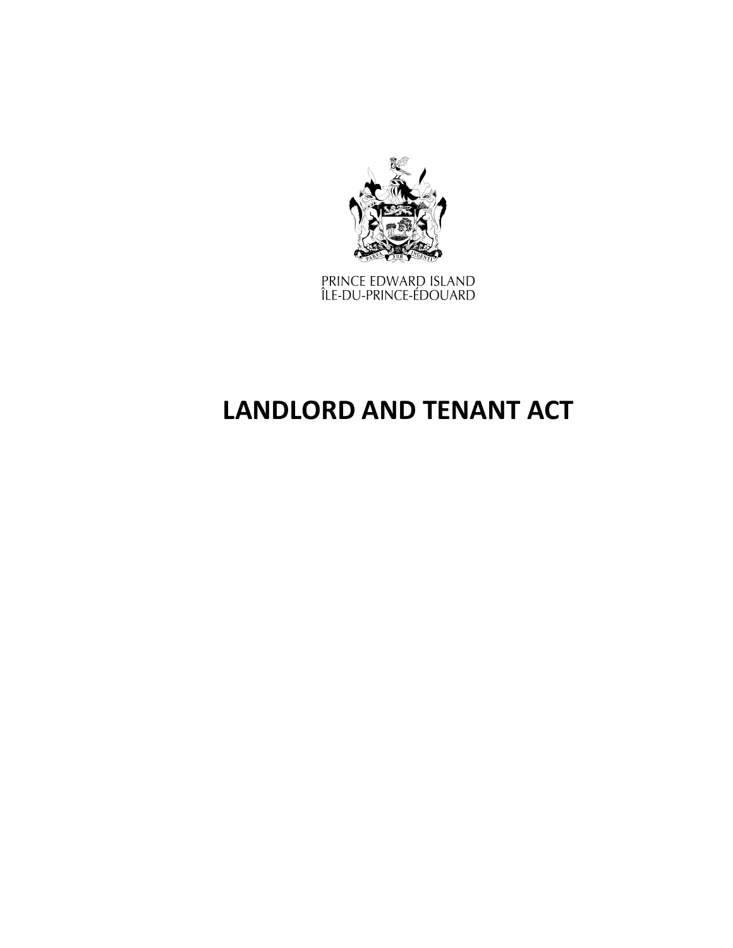

PRINCE EDWARD ISLAND<br>ÎLE-DU-PRINCE-ÉDOUARD

# **LANDLORD AND TENANT ACT**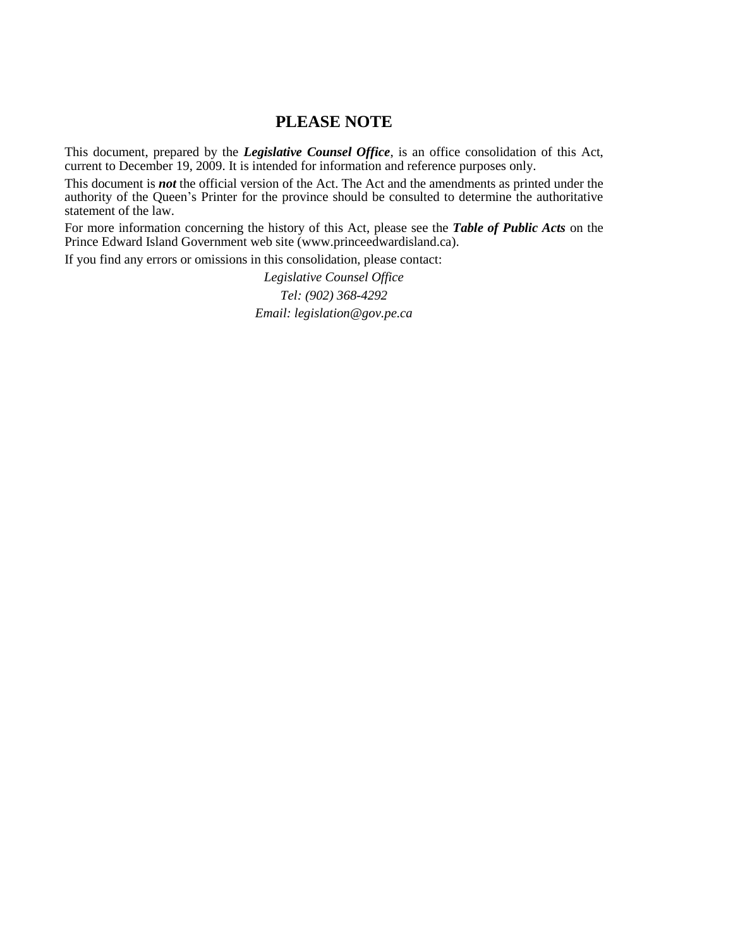## **PLEASE NOTE**

This document, prepared by the *[Legislative](http://www.gov.pe.ca/jps/index.php3?number=1027247) Counsel Office*, is an office consolidation of this Act, current to December 19, 2009. It is intended for information and reference purposes only.

This document is *not* the official version of the Act. The Act and the amendments as printed under the authority of the Queen's Printer for the province should be consulted to determine the authoritative statement of the law.

For more information concerning the history of this Act, please see the *[Table of Public Acts](https://www.princeedwardisland.ca/sites/default/files/publications/leg_table_acts.pdf)* on the Prince Edward Island Government web site (www.princeedwardisland.ca).

If you find any errors or omissions in this consolidation, please contact:

*Legislative Counsel Office Tel: (902) 368-4292 Email: legislation@gov.pe.ca*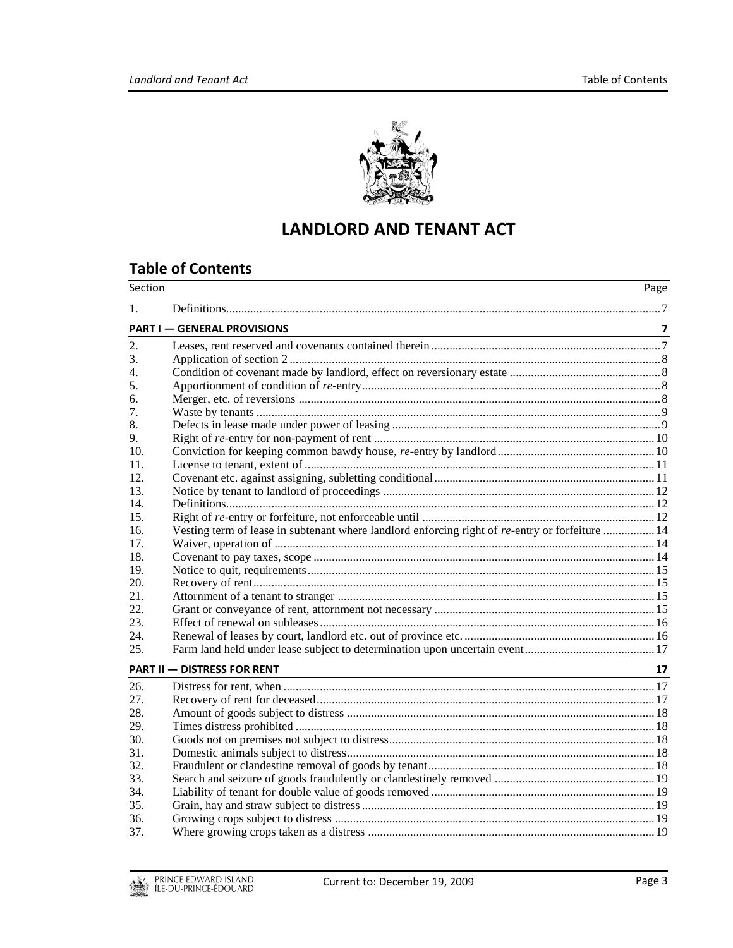

# **LANDLORD AND TENANT ACT**

# **Table of Contents**

| Section |                                                                                                 | Page                    |
|---------|-------------------------------------------------------------------------------------------------|-------------------------|
| $1_{-}$ |                                                                                                 |                         |
|         | <b>PART I - GENERAL PROVISIONS</b>                                                              | $\overline{\mathbf{z}}$ |
| 2.      |                                                                                                 |                         |
| 3.      |                                                                                                 |                         |
| 4.      |                                                                                                 |                         |
| 5.      |                                                                                                 |                         |
| 6.      |                                                                                                 |                         |
| 7.      |                                                                                                 |                         |
| 8.      |                                                                                                 |                         |
| 9.      |                                                                                                 |                         |
| 10.     |                                                                                                 |                         |
| 11.     |                                                                                                 |                         |
| 12.     |                                                                                                 |                         |
| 13.     |                                                                                                 |                         |
| 14.     |                                                                                                 |                         |
| 15.     |                                                                                                 |                         |
| 16.     | Vesting term of lease in subtenant where landlord enforcing right of re-entry or forfeiture  14 |                         |
| 17.     |                                                                                                 |                         |
| 18.     |                                                                                                 |                         |
| 19.     |                                                                                                 |                         |
| 20.     |                                                                                                 |                         |
| 21.     |                                                                                                 |                         |
| 22.     |                                                                                                 |                         |
| 23.     |                                                                                                 |                         |
| 24.     |                                                                                                 |                         |
| 25.     |                                                                                                 |                         |
|         | <b>PART II - DISTRESS FOR RENT</b>                                                              | 17                      |
| 26.     |                                                                                                 |                         |
| 27.     |                                                                                                 |                         |
| 28.     |                                                                                                 |                         |
| 29.     |                                                                                                 |                         |
| 30.     |                                                                                                 |                         |
| 31.     |                                                                                                 |                         |
| 32.     |                                                                                                 |                         |
| 33.     |                                                                                                 |                         |
| 34.     |                                                                                                 |                         |
| 35.     |                                                                                                 |                         |
| 36.     |                                                                                                 |                         |
| 37.     |                                                                                                 |                         |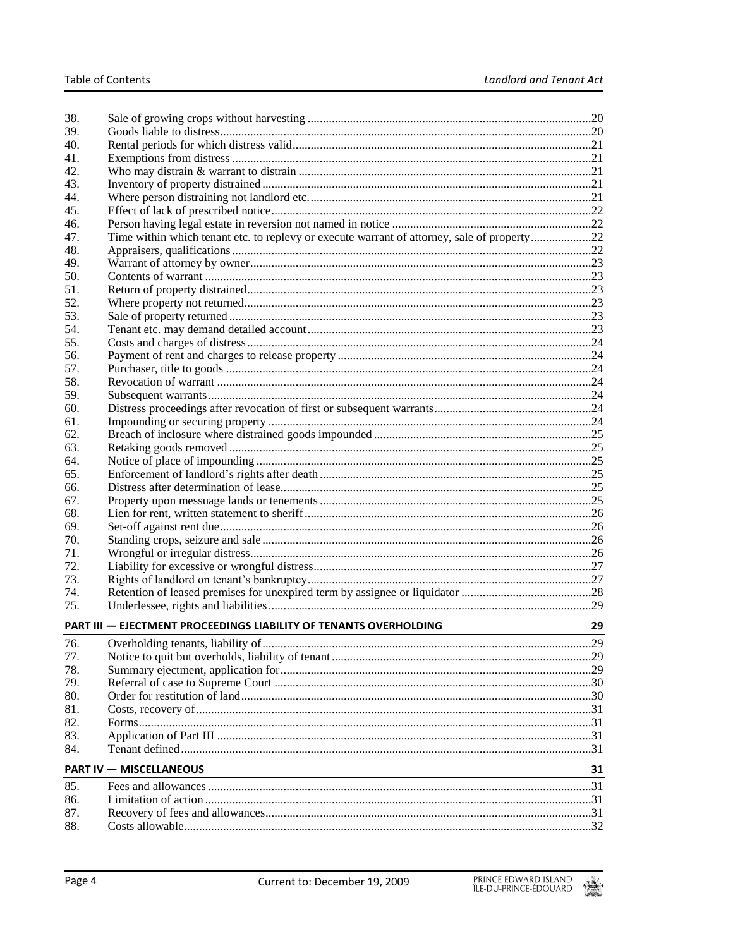| 38.<br>39.                     |                                                                                             |    |  |  |
|--------------------------------|---------------------------------------------------------------------------------------------|----|--|--|
|                                |                                                                                             |    |  |  |
| 40.                            |                                                                                             |    |  |  |
| 41.<br>42.                     |                                                                                             |    |  |  |
|                                |                                                                                             |    |  |  |
| 43.<br>44.                     |                                                                                             |    |  |  |
| 45.                            |                                                                                             |    |  |  |
| 46.                            |                                                                                             |    |  |  |
| 47.                            |                                                                                             |    |  |  |
| 48.                            | Time within which tenant etc. to replevy or execute warrant of attorney, sale of property22 |    |  |  |
|                                |                                                                                             |    |  |  |
| 49.<br>50.                     |                                                                                             |    |  |  |
| 51.                            |                                                                                             |    |  |  |
| 52.                            |                                                                                             |    |  |  |
| 53.                            |                                                                                             |    |  |  |
| 54.                            |                                                                                             |    |  |  |
| 55.                            |                                                                                             |    |  |  |
| 56.                            |                                                                                             |    |  |  |
| 57.                            |                                                                                             |    |  |  |
| 58.                            |                                                                                             |    |  |  |
| 59.                            |                                                                                             |    |  |  |
| 60.                            |                                                                                             |    |  |  |
| 61.                            |                                                                                             |    |  |  |
| 62.                            |                                                                                             |    |  |  |
| 63.                            |                                                                                             |    |  |  |
| 64.                            |                                                                                             |    |  |  |
| 65.                            |                                                                                             |    |  |  |
| 66.                            |                                                                                             |    |  |  |
| 67.                            |                                                                                             |    |  |  |
| 68.                            |                                                                                             |    |  |  |
| 69.                            |                                                                                             |    |  |  |
| 70.                            |                                                                                             |    |  |  |
| 71.                            |                                                                                             |    |  |  |
| 72.                            |                                                                                             |    |  |  |
| 73.                            |                                                                                             |    |  |  |
| 74.                            |                                                                                             |    |  |  |
| 75.                            |                                                                                             |    |  |  |
|                                | PART III - EJECTMENT PROCEEDINGS LIABILITY OF TENANTS OVERHOLDING                           | 29 |  |  |
|                                |                                                                                             |    |  |  |
| 76.                            |                                                                                             |    |  |  |
| 77.                            |                                                                                             |    |  |  |
| 78.                            |                                                                                             |    |  |  |
| 79.                            |                                                                                             |    |  |  |
| 80.                            |                                                                                             |    |  |  |
| 81.                            |                                                                                             |    |  |  |
| 82.                            |                                                                                             |    |  |  |
| 83.<br>84.                     |                                                                                             |    |  |  |
| <b>PART IV - MISCELLANEOUS</b> |                                                                                             |    |  |  |
|                                |                                                                                             | 31 |  |  |
| 85.                            |                                                                                             |    |  |  |
| 86.                            |                                                                                             |    |  |  |
| 87.                            |                                                                                             |    |  |  |
| 88.                            |                                                                                             |    |  |  |

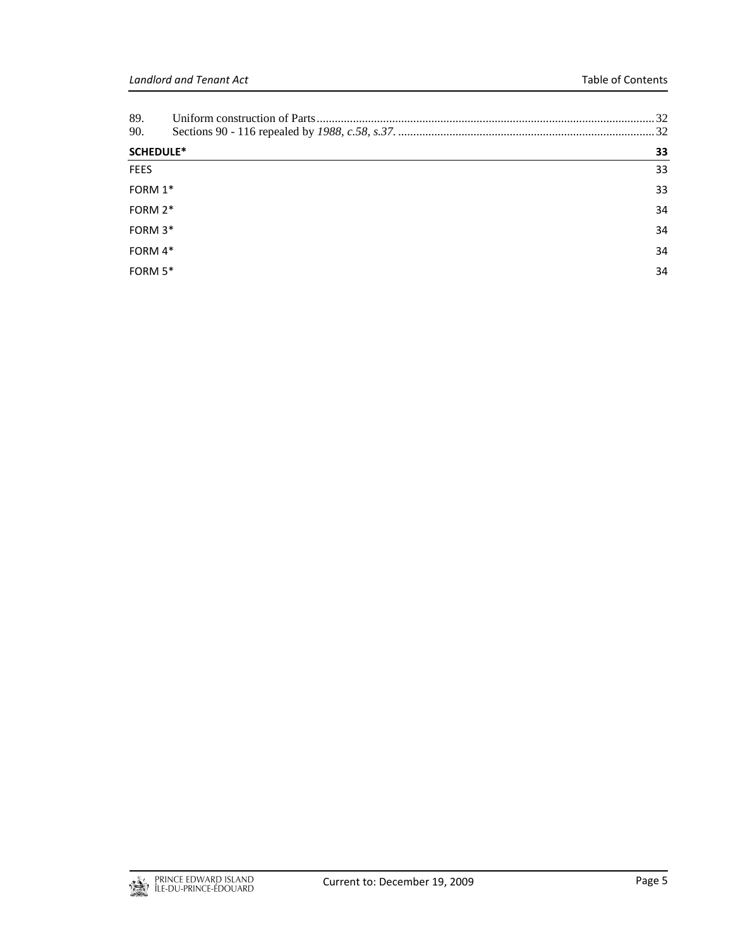| 90.              |    |
|------------------|----|
| <b>SCHEDULE*</b> | 33 |
| <b>FEES</b>      | 33 |
| FORM 1*          | 33 |
| FORM 2*          | 34 |
| FORM 3*          | 34 |
| FORM 4*          | 34 |
| FORM $5*$        | 34 |

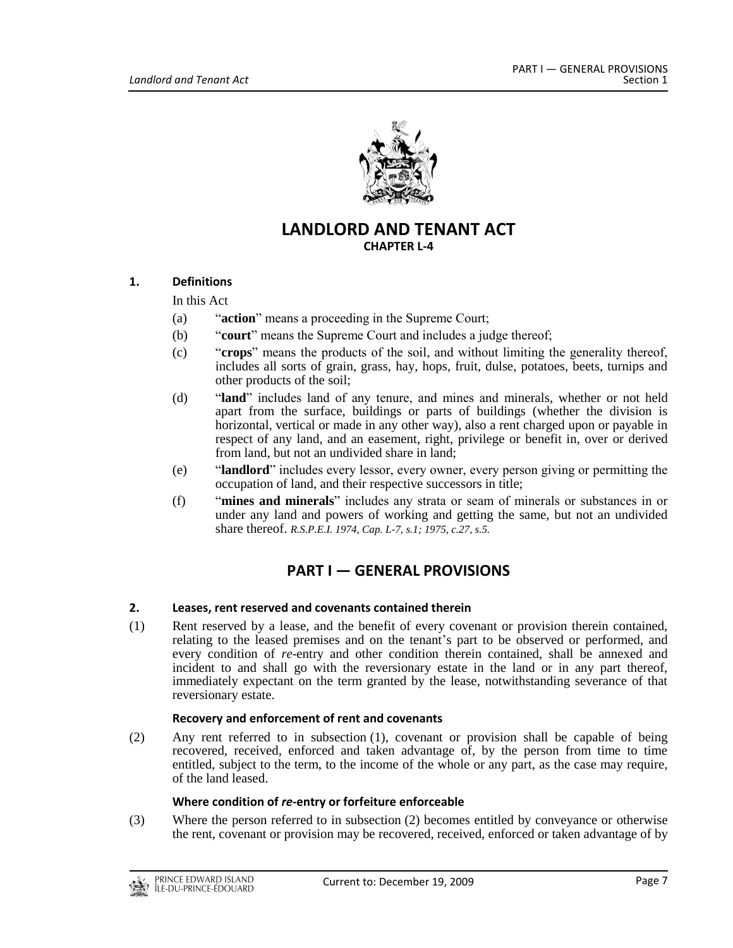

## **LANDLORD AND TENANT ACT CHAPTER L-4**

## <span id="page-6-0"></span>**1. Definitions**

In this Act

- (a) "**action**" means a proceeding in the Supreme Court;
- (b) "**court**" means the Supreme Court and includes a judge thereof;
- (c) "**crops**" means the products of the soil, and without limiting the generality thereof, includes all sorts of grain, grass, hay, hops, fruit, dulse, potatoes, beets, turnips and other products of the soil;
- (d) "**land**" includes land of any tenure, and mines and minerals, whether or not held apart from the surface, buildings or parts of buildings (whether the division is horizontal, vertical or made in any other way), also a rent charged upon or payable in respect of any land, and an easement, right, privilege or benefit in, over or derived from land, but not an undivided share in land;
- (e) "**landlord**" includes every lessor, every owner, every person giving or permitting the occupation of land, and their respective successors in title;
- <span id="page-6-1"></span>(f) "**mines and minerals**" includes any strata or seam of minerals or substances in or under any land and powers of working and getting the same, but not an undivided share thereof. *R.S.P.E.I. 1974, Cap. L-7, s.1; 1975, c.27, s.5.*

# **PART I — GENERAL PROVISIONS**

#### <span id="page-6-2"></span>**2. Leases, rent reserved and covenants contained therein**

(1) Rent reserved by a lease, and the benefit of every covenant or provision therein contained, relating to the leased premises and on the tenant's part to be observed or performed, and every condition of *re*-entry and other condition therein contained, shall be annexed and incident to and shall go with the reversionary estate in the land or in any part thereof, immediately expectant on the term granted by the lease, notwithstanding severance of that reversionary estate.

#### **Recovery and enforcement of rent and covenants**

(2) Any rent referred to in subsection (1), covenant or provision shall be capable of being recovered, received, enforced and taken advantage of, by the person from time to time entitled, subject to the term, to the income of the whole or any part, as the case may require, of the land leased.

#### **Where condition of** *re***-entry or forfeiture enforceable**

(3) Where the person referred to in subsection (2) becomes entitled by conveyance or otherwise the rent, covenant or provision may be recovered, received, enforced or taken advantage of by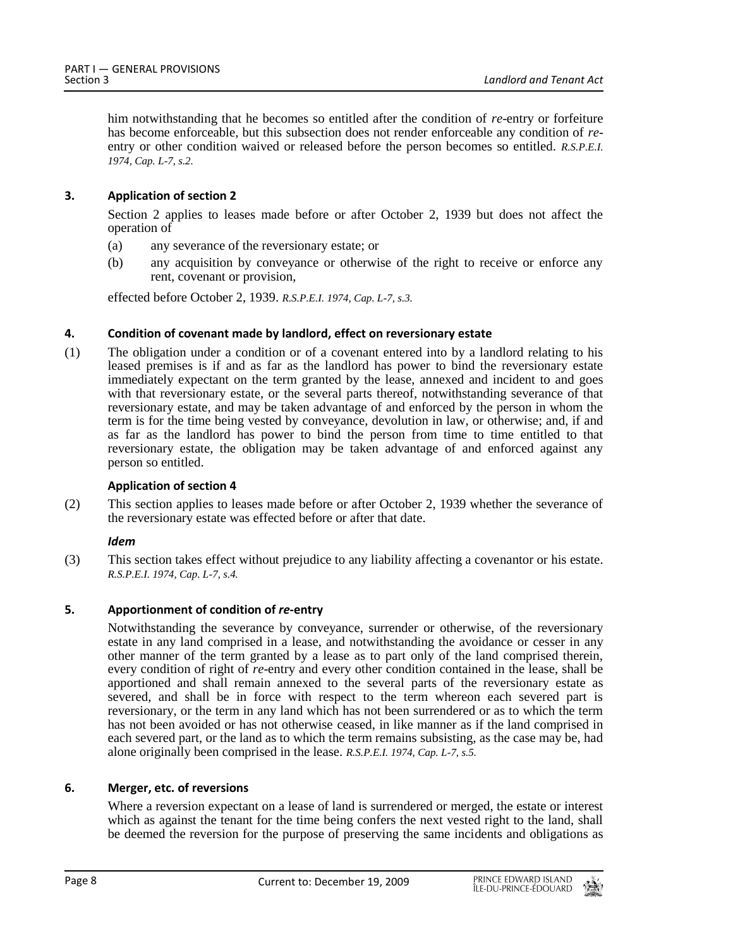him notwithstanding that he becomes so entitled after the condition of *re*-entry or forfeiture has become enforceable, but this subsection does not render enforceable any condition of *re*entry or other condition waived or released before the person becomes so entitled. *R.S.P.E.I. 1974, Cap. L-7, s.2.*

## <span id="page-7-0"></span>**3. Application of section 2**

Section 2 applies to leases made before or after October 2, 1939 but does not affect the operation of

- (a) any severance of the reversionary estate; or
- (b) any acquisition by conveyance or otherwise of the right to receive or enforce any rent, covenant or provision,

effected before October 2, 1939. *R.S.P.E.I. 1974, Cap. L-7, s.3.*

## <span id="page-7-1"></span>**4. Condition of covenant made by landlord, effect on reversionary estate**

(1) The obligation under a condition or of a covenant entered into by a landlord relating to his leased premises is if and as far as the landlord has power to bind the reversionary estate immediately expectant on the term granted by the lease, annexed and incident to and goes with that reversionary estate, or the several parts thereof, notwithstanding severance of that reversionary estate, and may be taken advantage of and enforced by the person in whom the term is for the time being vested by conveyance, devolution in law, or otherwise; and, if and as far as the landlord has power to bind the person from time to time entitled to that reversionary estate, the obligation may be taken advantage of and enforced against any person so entitled.

#### **Application of section 4**

(2) This section applies to leases made before or after October 2, 1939 whether the severance of the reversionary estate was effected before or after that date.

#### *Idem*

(3) This section takes effect without prejudice to any liability affecting a covenantor or his estate. *R.S.P.E.I. 1974, Cap. L-7, s.4.*

## <span id="page-7-2"></span>**5. Apportionment of condition of** *re***-entry**

Notwithstanding the severance by conveyance, surrender or otherwise, of the reversionary estate in any land comprised in a lease, and notwithstanding the avoidance or cesser in any other manner of the term granted by a lease as to part only of the land comprised therein, every condition of right of *re*-entry and every other condition contained in the lease, shall be apportioned and shall remain annexed to the several parts of the reversionary estate as severed, and shall be in force with respect to the term whereon each severed part is reversionary, or the term in any land which has not been surrendered or as to which the term has not been avoided or has not otherwise ceased, in like manner as if the land comprised in each severed part, or the land as to which the term remains subsisting, as the case may be, had alone originally been comprised in the lease. *R.S.P.E.I. 1974, Cap. L-7, s.5.*

## <span id="page-7-3"></span>**6. Merger, etc. of reversions**

Where a reversion expectant on a lease of land is surrendered or merged, the estate or interest which as against the tenant for the time being confers the next vested right to the land, shall be deemed the reversion for the purpose of preserving the same incidents and obligations as

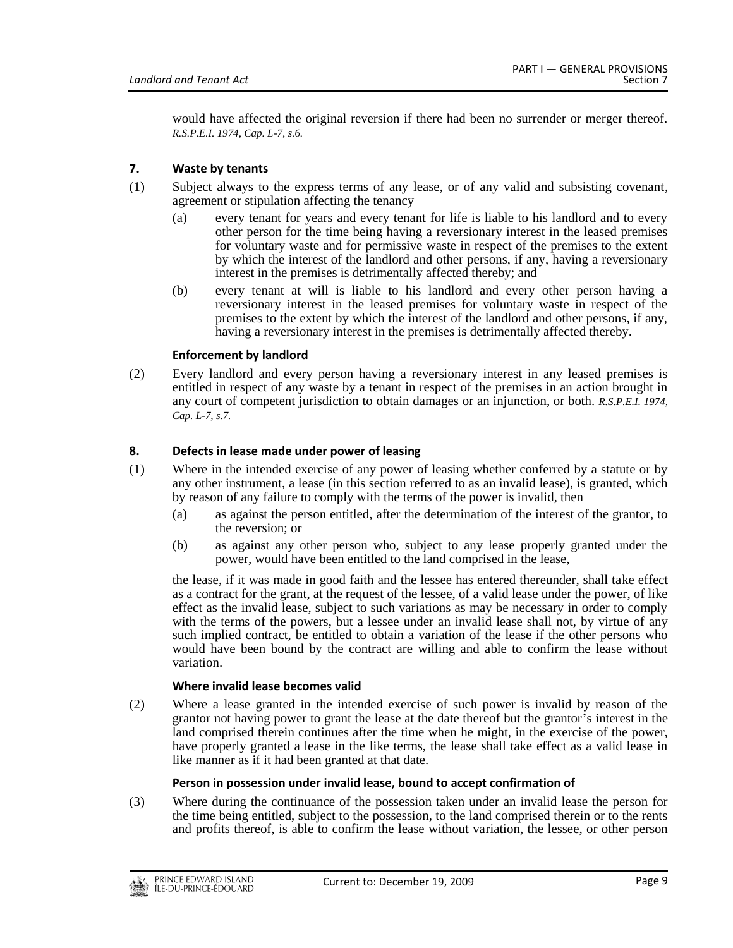would have affected the original reversion if there had been no surrender or merger thereof. *R.S.P.E.I. 1974, Cap. L-7, s.6.*

## <span id="page-8-0"></span>**7. Waste by tenants**

- (1) Subject always to the express terms of any lease, or of any valid and subsisting covenant, agreement or stipulation affecting the tenancy
	- (a) every tenant for years and every tenant for life is liable to his landlord and to every other person for the time being having a reversionary interest in the leased premises for voluntary waste and for permissive waste in respect of the premises to the extent by which the interest of the landlord and other persons, if any, having a reversionary interest in the premises is detrimentally affected thereby; and
	- (b) every tenant at will is liable to his landlord and every other person having a reversionary interest in the leased premises for voluntary waste in respect of the premises to the extent by which the interest of the landlord and other persons, if any, having a reversionary interest in the premises is detrimentally affected thereby.

## **Enforcement by landlord**

(2) Every landlord and every person having a reversionary interest in any leased premises is entitled in respect of any waste by a tenant in respect of the premises in an action brought in any court of competent jurisdiction to obtain damages or an injunction, or both. *R.S.P.E.I. 1974, Cap. L-7, s.7.*

## <span id="page-8-1"></span>**8. Defects in lease made under power of leasing**

- (1) Where in the intended exercise of any power of leasing whether conferred by a statute or by any other instrument, a lease (in this section referred to as an invalid lease), is granted, which by reason of any failure to comply with the terms of the power is invalid, then
	- (a) as against the person entitled, after the determination of the interest of the grantor, to the reversion; or
	- (b) as against any other person who, subject to any lease properly granted under the power, would have been entitled to the land comprised in the lease,

the lease, if it was made in good faith and the lessee has entered thereunder, shall take effect as a contract for the grant, at the request of the lessee, of a valid lease under the power, of like effect as the invalid lease, subject to such variations as may be necessary in order to comply with the terms of the powers, but a lessee under an invalid lease shall not, by virtue of any such implied contract, be entitled to obtain a variation of the lease if the other persons who would have been bound by the contract are willing and able to confirm the lease without variation.

#### **Where invalid lease becomes valid**

(2) Where a lease granted in the intended exercise of such power is invalid by reason of the grantor not having power to grant the lease at the date thereof but the grantor's interest in the land comprised therein continues after the time when he might, in the exercise of the power, have properly granted a lease in the like terms, the lease shall take effect as a valid lease in like manner as if it had been granted at that date.

## **Person in possession under invalid lease, bound to accept confirmation of**

(3) Where during the continuance of the possession taken under an invalid lease the person for the time being entitled, subject to the possession, to the land comprised therein or to the rents and profits thereof, is able to confirm the lease without variation, the lessee, or other person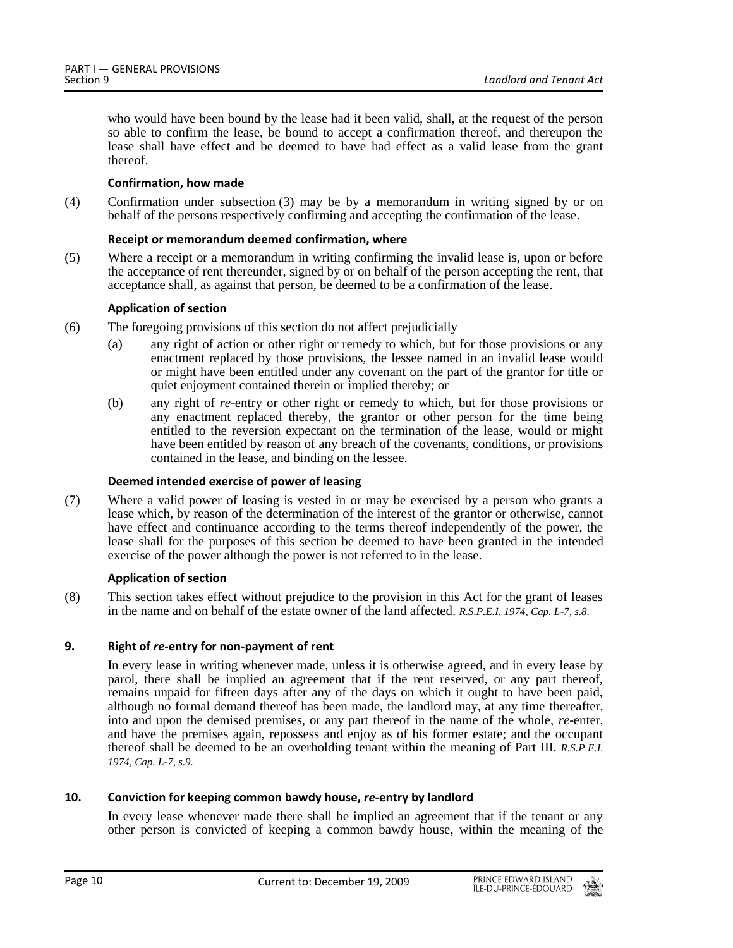who would have been bound by the lease had it been valid, shall, at the request of the person so able to confirm the lease, be bound to accept a confirmation thereof, and thereupon the lease shall have effect and be deemed to have had effect as a valid lease from the grant thereof.

## **Confirmation, how made**

(4) Confirmation under subsection (3) may be by a memorandum in writing signed by or on behalf of the persons respectively confirming and accepting the confirmation of the lease.

## **Receipt or memorandum deemed confirmation, where**

(5) Where a receipt or a memorandum in writing confirming the invalid lease is, upon or before the acceptance of rent thereunder, signed by or on behalf of the person accepting the rent, that acceptance shall, as against that person, be deemed to be a confirmation of the lease.

## **Application of section**

- (6) The foregoing provisions of this section do not affect prejudicially
	- (a) any right of action or other right or remedy to which, but for those provisions or any enactment replaced by those provisions, the lessee named in an invalid lease would or might have been entitled under any covenant on the part of the grantor for title or quiet enjoyment contained therein or implied thereby; or
	- (b) any right of *re*-entry or other right or remedy to which, but for those provisions or any enactment replaced thereby, the grantor or other person for the time being entitled to the reversion expectant on the termination of the lease, would or might have been entitled by reason of any breach of the covenants, conditions, or provisions contained in the lease, and binding on the lessee.

## **Deemed intended exercise of power of leasing**

(7) Where a valid power of leasing is vested in or may be exercised by a person who grants a lease which, by reason of the determination of the interest of the grantor or otherwise, cannot have effect and continuance according to the terms thereof independently of the power, the lease shall for the purposes of this section be deemed to have been granted in the intended exercise of the power although the power is not referred to in the lease.

#### **Application of section**

(8) This section takes effect without prejudice to the provision in this Act for the grant of leases in the name and on behalf of the estate owner of the land affected. *R.S.P.E.I. 1974, Cap. L-7, s.8.*

## <span id="page-9-0"></span>**9. Right of** *re***-entry for non-payment of rent**

In every lease in writing whenever made, unless it is otherwise agreed, and in every lease by parol, there shall be implied an agreement that if the rent reserved, or any part thereof, remains unpaid for fifteen days after any of the days on which it ought to have been paid, although no formal demand thereof has been made, the landlord may, at any time thereafter, into and upon the demised premises, or any part thereof in the name of the whole, *re*-enter, and have the premises again, repossess and enjoy as of his former estate; and the occupant thereof shall be deemed to be an overholding tenant within the meaning of Part III. *R.S.P.E.I. 1974, Cap. L-7, s.9.*

## <span id="page-9-1"></span>**10. Conviction for keeping common bawdy house,** *re***-entry by landlord**

In every lease whenever made there shall be implied an agreement that if the tenant or any other person is convicted of keeping a common bawdy house, within the meaning of the

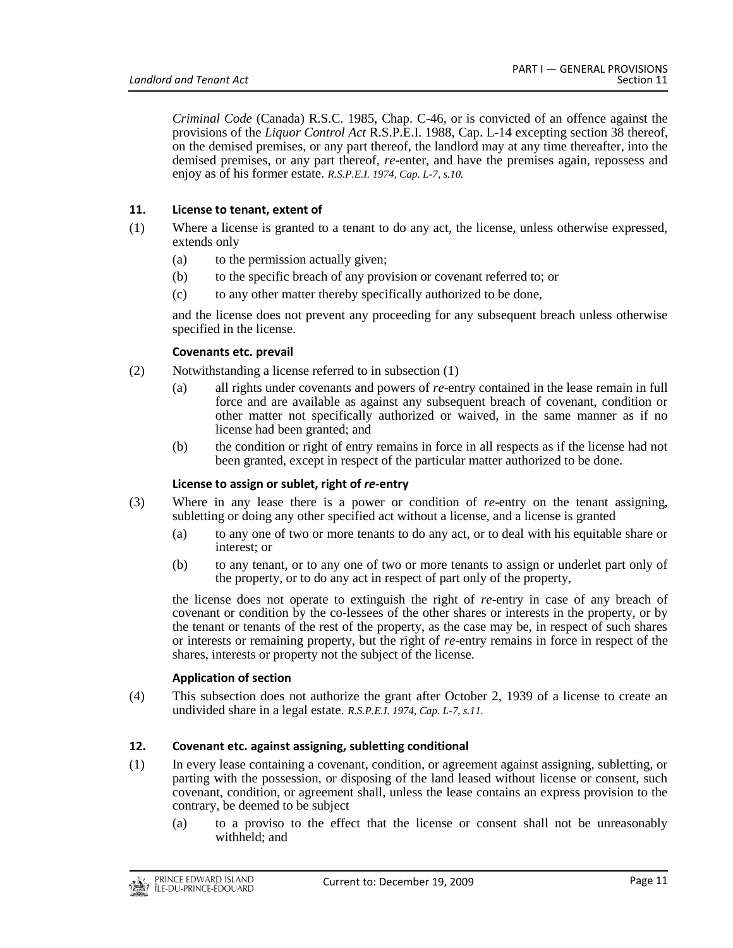*Criminal Code* (Canada) R.S.C. 1985, Chap. C-46, or is convicted of an offence against the provisions of the *Liquor Control Act* R.S.P.E.I. 1988, Cap. L-14 excepting section 38 thereof, on the demised premises, or any part thereof, the landlord may at any time thereafter, into the demised premises, or any part thereof, *re*-enter, and have the premises again, repossess and enjoy as of his former estate. *R.S.P.E.I. 1974, Cap. L-7, s.10.*

## <span id="page-10-0"></span>**11. License to tenant, extent of**

- (1) Where a license is granted to a tenant to do any act, the license, unless otherwise expressed, extends only
	- (a) to the permission actually given;
	- (b) to the specific breach of any provision or covenant referred to; or
	- (c) to any other matter thereby specifically authorized to be done,

and the license does not prevent any proceeding for any subsequent breach unless otherwise specified in the license.

## **Covenants etc. prevail**

- (2) Notwithstanding a license referred to in subsection (1)
	- (a) all rights under covenants and powers of *re*-entry contained in the lease remain in full force and are available as against any subsequent breach of covenant, condition or other matter not specifically authorized or waived, in the same manner as if no license had been granted; and
	- (b) the condition or right of entry remains in force in all respects as if the license had not been granted, except in respect of the particular matter authorized to be done.

#### **License to assign or sublet, right of** *re***-entry**

- (3) Where in any lease there is a power or condition of *re*-entry on the tenant assigning, subletting or doing any other specified act without a license, and a license is granted
	- (a) to any one of two or more tenants to do any act, or to deal with his equitable share or interest; or
	- (b) to any tenant, or to any one of two or more tenants to assign or underlet part only of the property, or to do any act in respect of part only of the property,

the license does not operate to extinguish the right of *re*-entry in case of any breach of covenant or condition by the co-lessees of the other shares or interests in the property, or by the tenant or tenants of the rest of the property, as the case may be, in respect of such shares or interests or remaining property, but the right of *re*-entry remains in force in respect of the shares, interests or property not the subject of the license.

#### **Application of section**

(4) This subsection does not authorize the grant after October 2, 1939 of a license to create an undivided share in a legal estate. *R.S.P.E.I. 1974, Cap. L-7, s.11.*

## <span id="page-10-1"></span>**12. Covenant etc. against assigning, subletting conditional**

- (1) In every lease containing a covenant, condition, or agreement against assigning, subletting, or parting with the possession, or disposing of the land leased without license or consent, such covenant, condition, or agreement shall, unless the lease contains an express provision to the contrary, be deemed to be subject
	- (a) to a proviso to the effect that the license or consent shall not be unreasonably withheld; and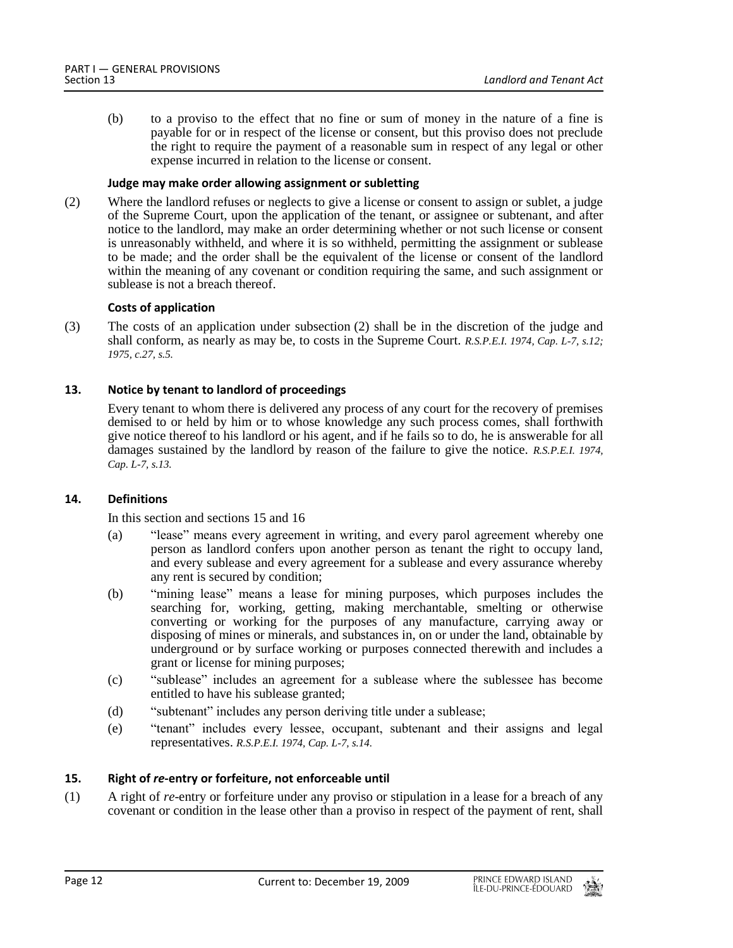(b) to a proviso to the effect that no fine or sum of money in the nature of a fine is payable for or in respect of the license or consent, but this proviso does not preclude the right to require the payment of a reasonable sum in respect of any legal or other expense incurred in relation to the license or consent.

## **Judge may make order allowing assignment or subletting**

(2) Where the landlord refuses or neglects to give a license or consent to assign or sublet, a judge of the Supreme Court, upon the application of the tenant, or assignee or subtenant, and after notice to the landlord, may make an order determining whether or not such license or consent is unreasonably withheld, and where it is so withheld, permitting the assignment or sublease to be made; and the order shall be the equivalent of the license or consent of the landlord within the meaning of any covenant or condition requiring the same, and such assignment or sublease is not a breach thereof.

## **Costs of application**

(3) The costs of an application under subsection (2) shall be in the discretion of the judge and shall conform, as nearly as may be, to costs in the Supreme Court. *R.S.P.E.I. 1974, Cap. L-7, s.12; 1975, c.27, s.5.*

## <span id="page-11-0"></span>**13. Notice by tenant to landlord of proceedings**

Every tenant to whom there is delivered any process of any court for the recovery of premises demised to or held by him or to whose knowledge any such process comes, shall forthwith give notice thereof to his landlord or his agent, and if he fails so to do, he is answerable for all damages sustained by the landlord by reason of the failure to give the notice. *R.S.P.E.I. 1974, Cap. L-7, s.13.*

#### <span id="page-11-1"></span>**14. Definitions**

In this section and sections 15 and 16

- (a) "lease" means every agreement in writing, and every parol agreement whereby one person as landlord confers upon another person as tenant the right to occupy land, and every sublease and every agreement for a sublease and every assurance whereby any rent is secured by condition;
- (b) "mining lease" means a lease for mining purposes, which purposes includes the searching for, working, getting, making merchantable, smelting or otherwise converting or working for the purposes of any manufacture, carrying away or disposing of mines or minerals, and substances in, on or under the land, obtainable by underground or by surface working or purposes connected therewith and includes a grant or license for mining purposes;
- (c) "sublease" includes an agreement for a sublease where the sublessee has become entitled to have his sublease granted;
- (d) "subtenant" includes any person deriving title under a sublease;
- (e) "tenant" includes every lessee, occupant, subtenant and their assigns and legal representatives. *R.S.P.E.I. 1974, Cap. L-7, s.14.*

## <span id="page-11-2"></span>**15. Right of** *re***-entry or forfeiture, not enforceable until**

(1) A right of *re*-entry or forfeiture under any proviso or stipulation in a lease for a breach of any covenant or condition in the lease other than a proviso in respect of the payment of rent, shall

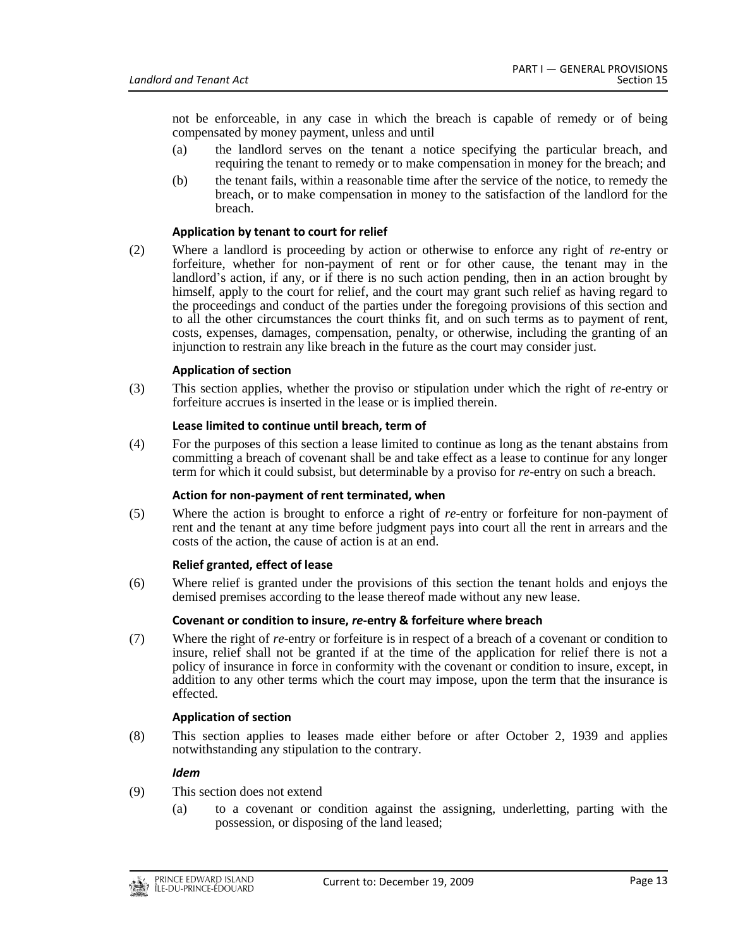not be enforceable, in any case in which the breach is capable of remedy or of being compensated by money payment, unless and until

- (a) the landlord serves on the tenant a notice specifying the particular breach, and requiring the tenant to remedy or to make compensation in money for the breach; and
- (b) the tenant fails, within a reasonable time after the service of the notice, to remedy the breach, or to make compensation in money to the satisfaction of the landlord for the breach.

## **Application by tenant to court for relief**

(2) Where a landlord is proceeding by action or otherwise to enforce any right of *re*-entry or forfeiture, whether for non-payment of rent or for other cause, the tenant may in the landlord's action, if any, or if there is no such action pending, then in an action brought by himself, apply to the court for relief, and the court may grant such relief as having regard to the proceedings and conduct of the parties under the foregoing provisions of this section and to all the other circumstances the court thinks fit, and on such terms as to payment of rent, costs, expenses, damages, compensation, penalty, or otherwise, including the granting of an injunction to restrain any like breach in the future as the court may consider just.

## **Application of section**

(3) This section applies, whether the proviso or stipulation under which the right of *re*-entry or forfeiture accrues is inserted in the lease or is implied therein.

#### **Lease limited to continue until breach, term of**

(4) For the purposes of this section a lease limited to continue as long as the tenant abstains from committing a breach of covenant shall be and take effect as a lease to continue for any longer term for which it could subsist, but determinable by a proviso for *re*-entry on such a breach.

#### **Action for non-payment of rent terminated, when**

(5) Where the action is brought to enforce a right of *re*-entry or forfeiture for non-payment of rent and the tenant at any time before judgment pays into court all the rent in arrears and the costs of the action, the cause of action is at an end.

#### **Relief granted, effect of lease**

(6) Where relief is granted under the provisions of this section the tenant holds and enjoys the demised premises according to the lease thereof made without any new lease.

#### **Covenant or condition to insure,** *re***-entry & forfeiture where breach**

(7) Where the right of *re*-entry or forfeiture is in respect of a breach of a covenant or condition to insure, relief shall not be granted if at the time of the application for relief there is not a policy of insurance in force in conformity with the covenant or condition to insure, except, in addition to any other terms which the court may impose, upon the term that the insurance is effected.

#### **Application of section**

(8) This section applies to leases made either before or after October 2, 1939 and applies notwithstanding any stipulation to the contrary.

#### *Idem*

- (9) This section does not extend
	- (a) to a covenant or condition against the assigning, underletting, parting with the possession, or disposing of the land leased;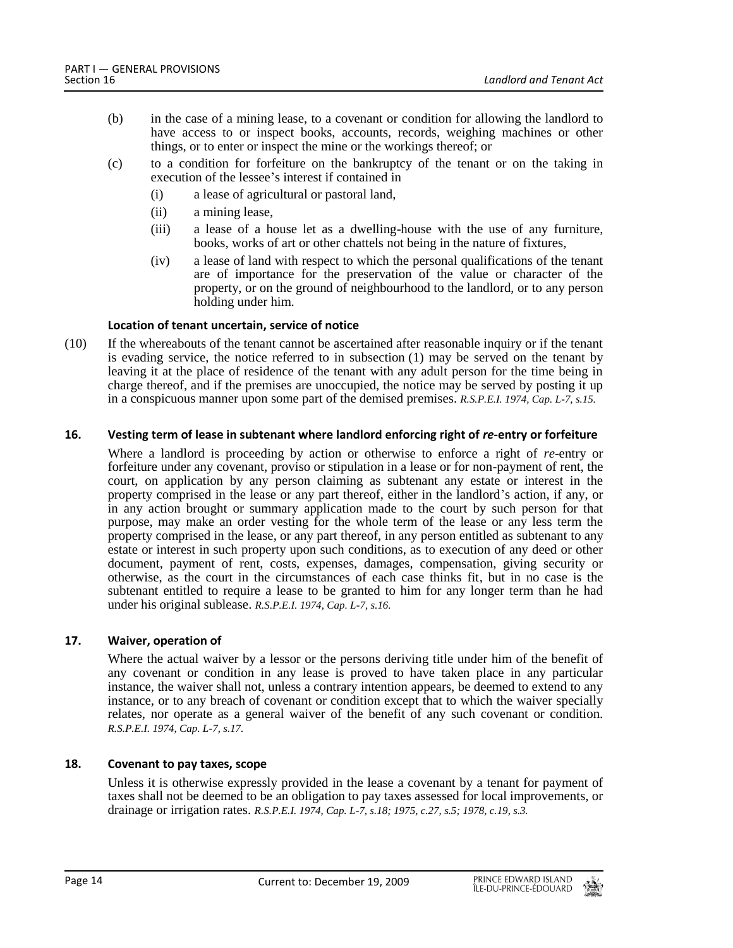- (b) in the case of a mining lease, to a covenant or condition for allowing the landlord to have access to or inspect books, accounts, records, weighing machines or other things, or to enter or inspect the mine or the workings thereof; or
- (c) to a condition for forfeiture on the bankruptcy of the tenant or on the taking in execution of the lessee's interest if contained in
	- (i) a lease of agricultural or pastoral land,
	- (ii) a mining lease,
	- (iii) a lease of a house let as a dwelling-house with the use of any furniture, books, works of art or other chattels not being in the nature of fixtures,
	- (iv) a lease of land with respect to which the personal qualifications of the tenant are of importance for the preservation of the value or character of the property, or on the ground of neighbourhood to the landlord, or to any person holding under him.

## **Location of tenant uncertain, service of notice**

(10) If the whereabouts of the tenant cannot be ascertained after reasonable inquiry or if the tenant is evading service, the notice referred to in subsection (1) may be served on the tenant by leaving it at the place of residence of the tenant with any adult person for the time being in charge thereof, and if the premises are unoccupied, the notice may be served by posting it up in a conspicuous manner upon some part of the demised premises. *R.S.P.E.I. 1974, Cap. L-7, s.15.*

## <span id="page-13-0"></span>**16. Vesting term of lease in subtenant where landlord enforcing right of** *re***-entry or forfeiture**

Where a landlord is proceeding by action or otherwise to enforce a right of *re*-entry or forfeiture under any covenant, proviso or stipulation in a lease or for non-payment of rent, the court, on application by any person claiming as subtenant any estate or interest in the property comprised in the lease or any part thereof, either in the landlord's action, if any, or in any action brought or summary application made to the court by such person for that purpose, may make an order vesting for the whole term of the lease or any less term the property comprised in the lease, or any part thereof, in any person entitled as subtenant to any estate or interest in such property upon such conditions, as to execution of any deed or other document, payment of rent, costs, expenses, damages, compensation, giving security or otherwise, as the court in the circumstances of each case thinks fit, but in no case is the subtenant entitled to require a lease to be granted to him for any longer term than he had under his original sublease. *R.S.P.E.I. 1974, Cap. L-7, s.16.*

#### <span id="page-13-1"></span>**17. Waiver, operation of**

Where the actual waiver by a lessor or the persons deriving title under him of the benefit of any covenant or condition in any lease is proved to have taken place in any particular instance, the waiver shall not, unless a contrary intention appears, be deemed to extend to any instance, or to any breach of covenant or condition except that to which the waiver specially relates, nor operate as a general waiver of the benefit of any such covenant or condition. *R.S.P.E.I. 1974, Cap. L-7, s.17.*

## <span id="page-13-2"></span>**18. Covenant to pay taxes, scope**

Unless it is otherwise expressly provided in the lease a covenant by a tenant for payment of taxes shall not be deemed to be an obligation to pay taxes assessed for local improvements, or drainage or irrigation rates. *R.S.P.E.I. 1974, Cap. L-7, s.18; 1975, c.27, s.5; 1978, c.19, s.3.*

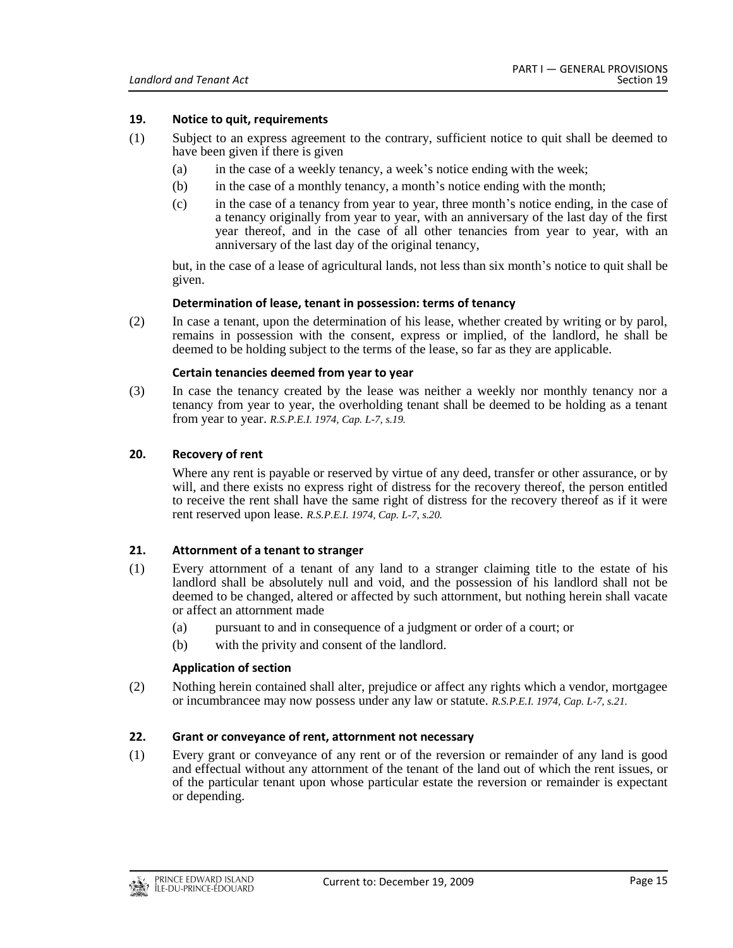## <span id="page-14-0"></span>**19. Notice to quit, requirements**

- (1) Subject to an express agreement to the contrary, sufficient notice to quit shall be deemed to have been given if there is given
	- (a) in the case of a weekly tenancy, a week's notice ending with the week;
	- (b) in the case of a monthly tenancy, a month's notice ending with the month;
	- (c) in the case of a tenancy from year to year, three month's notice ending, in the case of a tenancy originally from year to year, with an anniversary of the last day of the first year thereof, and in the case of all other tenancies from year to year, with an anniversary of the last day of the original tenancy,

but, in the case of a lease of agricultural lands, not less than six month's notice to quit shall be given.

#### **Determination of lease, tenant in possession: terms of tenancy**

(2) In case a tenant, upon the determination of his lease, whether created by writing or by parol, remains in possession with the consent, express or implied, of the landlord, he shall be deemed to be holding subject to the terms of the lease, so far as they are applicable.

#### **Certain tenancies deemed from year to year**

(3) In case the tenancy created by the lease was neither a weekly nor monthly tenancy nor a tenancy from year to year, the overholding tenant shall be deemed to be holding as a tenant from year to year. *R.S.P.E.I. 1974, Cap. L-7, s.19.*

## <span id="page-14-1"></span>**20. Recovery of rent**

Where any rent is payable or reserved by virtue of any deed, transfer or other assurance, or by will, and there exists no express right of distress for the recovery thereof, the person entitled to receive the rent shall have the same right of distress for the recovery thereof as if it were rent reserved upon lease. *R.S.P.E.I. 1974, Cap. L-7, s.20.*

## <span id="page-14-2"></span>**21. Attornment of a tenant to stranger**

- (1) Every attornment of a tenant of any land to a stranger claiming title to the estate of his landlord shall be absolutely null and void, and the possession of his landlord shall not be deemed to be changed, altered or affected by such attornment, but nothing herein shall vacate or affect an attornment made
	- (a) pursuant to and in consequence of a judgment or order of a court; or
	- (b) with the privity and consent of the landlord.

#### **Application of section**

(2) Nothing herein contained shall alter, prejudice or affect any rights which a vendor, mortgagee or incumbrancee may now possess under any law or statute. *R.S.P.E.I. 1974, Cap. L-7, s.21.*

#### <span id="page-14-3"></span>**22. Grant or conveyance of rent, attornment not necessary**

(1) Every grant or conveyance of any rent or of the reversion or remainder of any land is good and effectual without any attornment of the tenant of the land out of which the rent issues, or of the particular tenant upon whose particular estate the reversion or remainder is expectant or depending.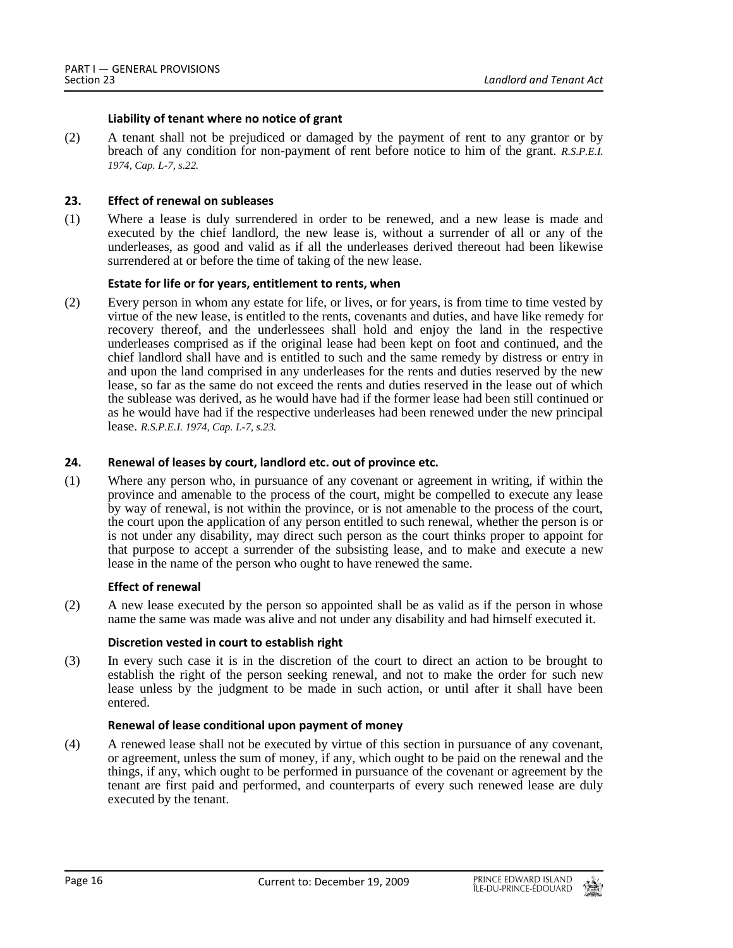## **Liability of tenant where no notice of grant**

(2) A tenant shall not be prejudiced or damaged by the payment of rent to any grantor or by breach of any condition for non-payment of rent before notice to him of the grant. *R.S.P.E.I. 1974, Cap. L-7, s.22.*

## <span id="page-15-0"></span>**23. Effect of renewal on subleases**

(1) Where a lease is duly surrendered in order to be renewed, and a new lease is made and executed by the chief landlord, the new lease is, without a surrender of all or any of the underleases, as good and valid as if all the underleases derived thereout had been likewise surrendered at or before the time of taking of the new lease.

## **Estate for life or for years, entitlement to rents, when**

(2) Every person in whom any estate for life, or lives, or for years, is from time to time vested by virtue of the new lease, is entitled to the rents, covenants and duties, and have like remedy for recovery thereof, and the underlessees shall hold and enjoy the land in the respective underleases comprised as if the original lease had been kept on foot and continued, and the chief landlord shall have and is entitled to such and the same remedy by distress or entry in and upon the land comprised in any underleases for the rents and duties reserved by the new lease, so far as the same do not exceed the rents and duties reserved in the lease out of which the sublease was derived, as he would have had if the former lease had been still continued or as he would have had if the respective underleases had been renewed under the new principal lease. *R.S.P.E.I. 1974, Cap. L-7, s.23.*

## <span id="page-15-1"></span>**24. Renewal of leases by court, landlord etc. out of province etc.**

(1) Where any person who, in pursuance of any covenant or agreement in writing, if within the province and amenable to the process of the court, might be compelled to execute any lease by way of renewal, is not within the province, or is not amenable to the process of the court, the court upon the application of any person entitled to such renewal, whether the person is or is not under any disability, may direct such person as the court thinks proper to appoint for that purpose to accept a surrender of the subsisting lease, and to make and execute a new lease in the name of the person who ought to have renewed the same.

#### **Effect of renewal**

(2) A new lease executed by the person so appointed shall be as valid as if the person in whose name the same was made was alive and not under any disability and had himself executed it.

#### **Discretion vested in court to establish right**

(3) In every such case it is in the discretion of the court to direct an action to be brought to establish the right of the person seeking renewal, and not to make the order for such new lease unless by the judgment to be made in such action, or until after it shall have been entered.

## **Renewal of lease conditional upon payment of money**

(4) A renewed lease shall not be executed by virtue of this section in pursuance of any covenant, or agreement, unless the sum of money, if any, which ought to be paid on the renewal and the things, if any, which ought to be performed in pursuance of the covenant or agreement by the tenant are first paid and performed, and counterparts of every such renewed lease are duly executed by the tenant.

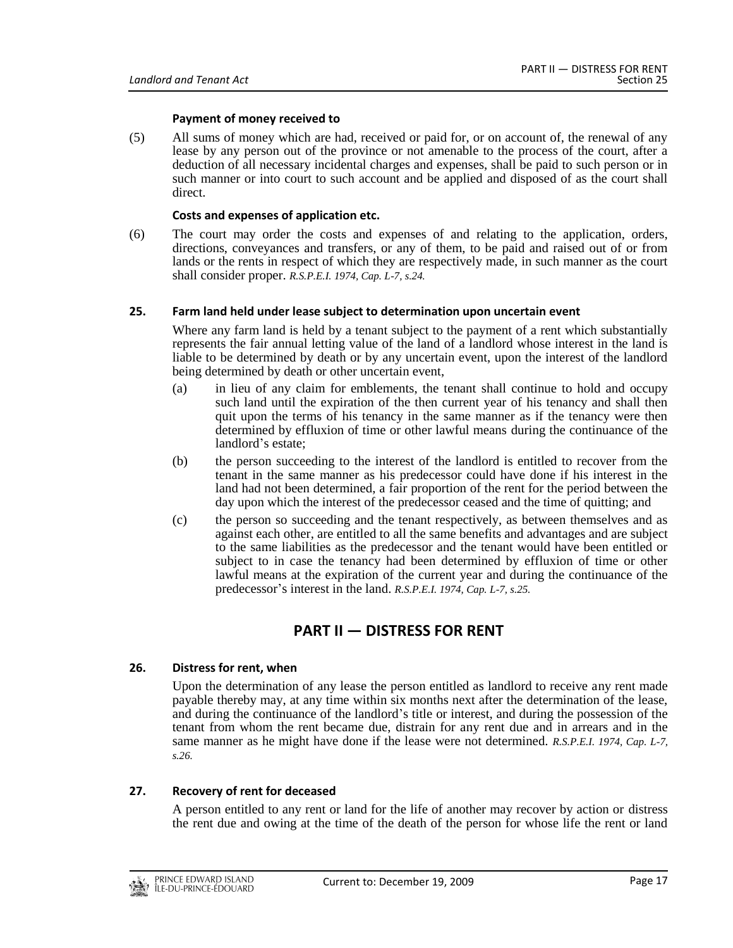## **Payment of money received to**

(5) All sums of money which are had, received or paid for, or on account of, the renewal of any lease by any person out of the province or not amenable to the process of the court, after a deduction of all necessary incidental charges and expenses, shall be paid to such person or in such manner or into court to such account and be applied and disposed of as the court shall direct.

## **Costs and expenses of application etc.**

(6) The court may order the costs and expenses of and relating to the application, orders, directions, conveyances and transfers, or any of them, to be paid and raised out of or from lands or the rents in respect of which they are respectively made, in such manner as the court shall consider proper. *R.S.P.E.I. 1974, Cap. L-7, s.24.*

## <span id="page-16-0"></span>**25. Farm land held under lease subject to determination upon uncertain event**

Where any farm land is held by a tenant subject to the payment of a rent which substantially represents the fair annual letting value of the land of a landlord whose interest in the land is liable to be determined by death or by any uncertain event, upon the interest of the landlord being determined by death or other uncertain event,

- (a) in lieu of any claim for emblements, the tenant shall continue to hold and occupy such land until the expiration of the then current year of his tenancy and shall then quit upon the terms of his tenancy in the same manner as if the tenancy were then determined by effluxion of time or other lawful means during the continuance of the landlord's estate;
- (b) the person succeeding to the interest of the landlord is entitled to recover from the tenant in the same manner as his predecessor could have done if his interest in the land had not been determined, a fair proportion of the rent for the period between the day upon which the interest of the predecessor ceased and the time of quitting; and
- (c) the person so succeeding and the tenant respectively, as between themselves and as against each other, are entitled to all the same benefits and advantages and are subject to the same liabilities as the predecessor and the tenant would have been entitled or subject to in case the tenancy had been determined by effluxion of time or other lawful means at the expiration of the current year and during the continuance of the predecessor's interest in the land. *R.S.P.E.I. 1974, Cap. L-7, s.25.*

# **PART II — DISTRESS FOR RENT**

## <span id="page-16-2"></span><span id="page-16-1"></span>**26. Distress for rent, when**

Upon the determination of any lease the person entitled as landlord to receive any rent made payable thereby may, at any time within six months next after the determination of the lease, and during the continuance of the landlord's title or interest, and during the possession of the tenant from whom the rent became due, distrain for any rent due and in arrears and in the same manner as he might have done if the lease were not determined. *R.S.P.E.I. 1974, Cap. L-7, s.26.*

#### <span id="page-16-3"></span>**27. Recovery of rent for deceased**

A person entitled to any rent or land for the life of another may recover by action or distress the rent due and owing at the time of the death of the person for whose life the rent or land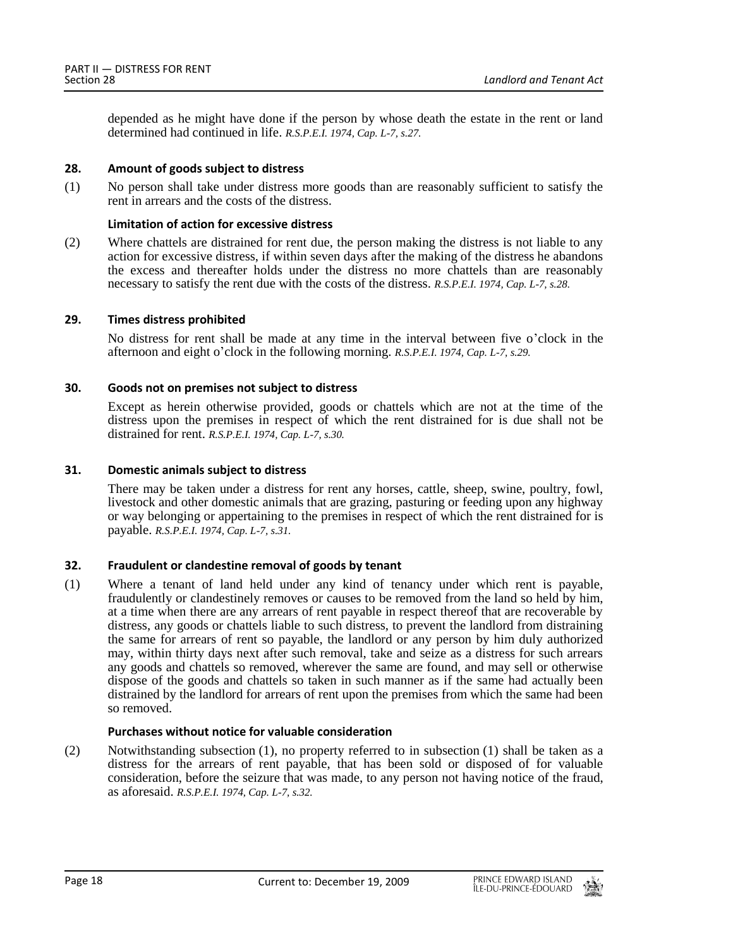depended as he might have done if the person by whose death the estate in the rent or land determined had continued in life. *R.S.P.E.I. 1974, Cap. L-7, s.27.*

## <span id="page-17-0"></span>**28. Amount of goods subject to distress**

(1) No person shall take under distress more goods than are reasonably sufficient to satisfy the rent in arrears and the costs of the distress.

## **Limitation of action for excessive distress**

(2) Where chattels are distrained for rent due, the person making the distress is not liable to any action for excessive distress, if within seven days after the making of the distress he abandons the excess and thereafter holds under the distress no more chattels than are reasonably necessary to satisfy the rent due with the costs of the distress. *R.S.P.E.I. 1974, Cap. L-7, s.28.*

## <span id="page-17-1"></span>**29. Times distress prohibited**

No distress for rent shall be made at any time in the interval between five o'clock in the afternoon and eight o'clock in the following morning. *R.S.P.E.I. 1974, Cap. L-7, s.29.*

## <span id="page-17-2"></span>**30. Goods not on premises not subject to distress**

Except as herein otherwise provided, goods or chattels which are not at the time of the distress upon the premises in respect of which the rent distrained for is due shall not be distrained for rent. *R.S.P.E.I. 1974, Cap. L-7, s.30.*

#### <span id="page-17-3"></span>**31. Domestic animals subject to distress**

There may be taken under a distress for rent any horses, cattle, sheep, swine, poultry, fowl, livestock and other domestic animals that are grazing, pasturing or feeding upon any highway or way belonging or appertaining to the premises in respect of which the rent distrained for is payable. *R.S.P.E.I. 1974, Cap. L-7, s.31.*

#### <span id="page-17-4"></span>**32. Fraudulent or clandestine removal of goods by tenant**

(1) Where a tenant of land held under any kind of tenancy under which rent is payable, fraudulently or clandestinely removes or causes to be removed from the land so held by him, at a time when there are any arrears of rent payable in respect thereof that are recoverable by distress, any goods or chattels liable to such distress, to prevent the landlord from distraining the same for arrears of rent so payable, the landlord or any person by him duly authorized may, within thirty days next after such removal, take and seize as a distress for such arrears any goods and chattels so removed, wherever the same are found, and may sell or otherwise dispose of the goods and chattels so taken in such manner as if the same had actually been distrained by the landlord for arrears of rent upon the premises from which the same had been so removed.

#### **Purchases without notice for valuable consideration**

(2) Notwithstanding subsection (1), no property referred to in subsection (1) shall be taken as a distress for the arrears of rent payable, that has been sold or disposed of for valuable consideration, before the seizure that was made, to any person not having notice of the fraud, as aforesaid. *R.S.P.E.I. 1974, Cap. L-7, s.32.*

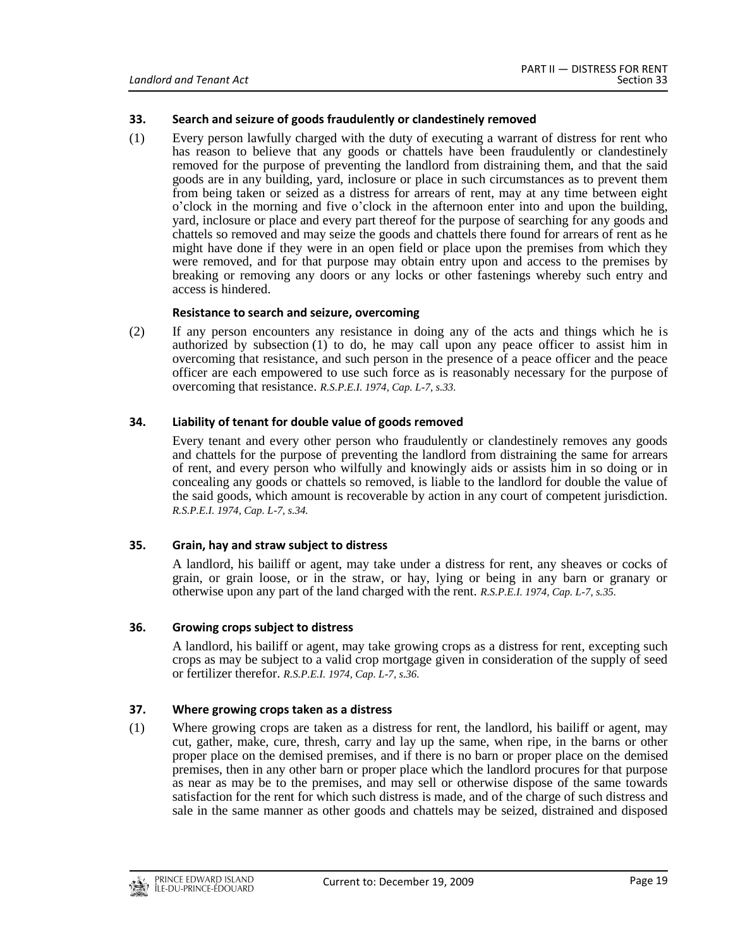## <span id="page-18-0"></span>**33. Search and seizure of goods fraudulently or clandestinely removed**

(1) Every person lawfully charged with the duty of executing a warrant of distress for rent who has reason to believe that any goods or chattels have been fraudulently or clandestinely removed for the purpose of preventing the landlord from distraining them, and that the said goods are in any building, yard, inclosure or place in such circumstances as to prevent them from being taken or seized as a distress for arrears of rent, may at any time between eight o'clock in the morning and five o'clock in the afternoon enter into and upon the building, yard, inclosure or place and every part thereof for the purpose of searching for any goods and chattels so removed and may seize the goods and chattels there found for arrears of rent as he might have done if they were in an open field or place upon the premises from which they were removed, and for that purpose may obtain entry upon and access to the premises by breaking or removing any doors or any locks or other fastenings whereby such entry and access is hindered.

## **Resistance to search and seizure, overcoming**

(2) If any person encounters any resistance in doing any of the acts and things which he is authorized by subsection (1) to do, he may call upon any peace officer to assist him in overcoming that resistance, and such person in the presence of a peace officer and the peace officer are each empowered to use such force as is reasonably necessary for the purpose of overcoming that resistance. *R.S.P.E.I. 1974, Cap. L-7, s.33.*

## <span id="page-18-1"></span>**34. Liability of tenant for double value of goods removed**

Every tenant and every other person who fraudulently or clandestinely removes any goods and chattels for the purpose of preventing the landlord from distraining the same for arrears of rent, and every person who wilfully and knowingly aids or assists him in so doing or in concealing any goods or chattels so removed, is liable to the landlord for double the value of the said goods, which amount is recoverable by action in any court of competent jurisdiction. *R.S.P.E.I. 1974, Cap. L-7, s.34.*

## <span id="page-18-2"></span>**35. Grain, hay and straw subject to distress**

A landlord, his bailiff or agent, may take under a distress for rent, any sheaves or cocks of grain, or grain loose, or in the straw, or hay, lying or being in any barn or granary or otherwise upon any part of the land charged with the rent. *R.S.P.E.I. 1974, Cap. L-7, s.35.*

## <span id="page-18-3"></span>**36. Growing crops subject to distress**

A landlord, his bailiff or agent, may take growing crops as a distress for rent, excepting such crops as may be subject to a valid crop mortgage given in consideration of the supply of seed or fertilizer therefor. *R.S.P.E.I. 1974, Cap. L-7, s.36.*

## <span id="page-18-4"></span>**37. Where growing crops taken as a distress**

(1) Where growing crops are taken as a distress for rent, the landlord, his bailiff or agent, may cut, gather, make, cure, thresh, carry and lay up the same, when ripe, in the barns or other proper place on the demised premises, and if there is no barn or proper place on the demised premises, then in any other barn or proper place which the landlord procures for that purpose as near as may be to the premises, and may sell or otherwise dispose of the same towards satisfaction for the rent for which such distress is made, and of the charge of such distress and sale in the same manner as other goods and chattels may be seized, distrained and disposed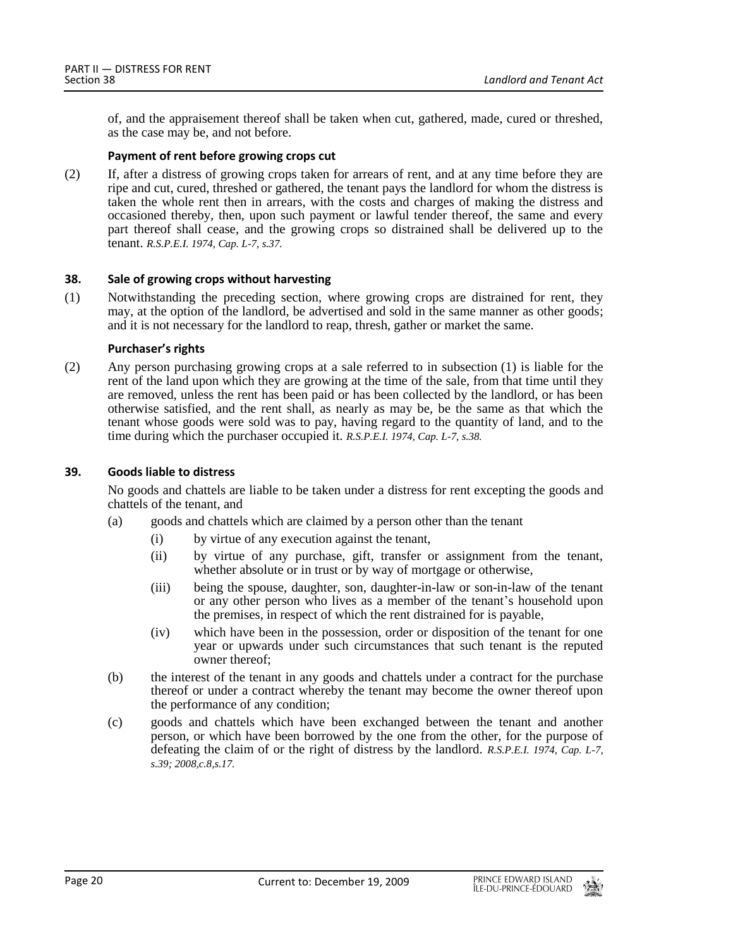of, and the appraisement thereof shall be taken when cut, gathered, made, cured or threshed, as the case may be, and not before.

## **Payment of rent before growing crops cut**

(2) If, after a distress of growing crops taken for arrears of rent, and at any time before they are ripe and cut, cured, threshed or gathered, the tenant pays the landlord for whom the distress is taken the whole rent then in arrears, with the costs and charges of making the distress and occasioned thereby, then, upon such payment or lawful tender thereof, the same and every part thereof shall cease, and the growing crops so distrained shall be delivered up to the tenant. *R.S.P.E.I. 1974, Cap. L-7, s.37.*

## <span id="page-19-0"></span>**38. Sale of growing crops without harvesting**

(1) Notwithstanding the preceding section, where growing crops are distrained for rent, they may, at the option of the landlord, be advertised and sold in the same manner as other goods; and it is not necessary for the landlord to reap, thresh, gather or market the same.

## **Purchaser's rights**

(2) Any person purchasing growing crops at a sale referred to in subsection (1) is liable for the rent of the land upon which they are growing at the time of the sale, from that time until they are removed, unless the rent has been paid or has been collected by the landlord, or has been otherwise satisfied, and the rent shall, as nearly as may be, be the same as that which the tenant whose goods were sold was to pay, having regard to the quantity of land, and to the time during which the purchaser occupied it. *R.S.P.E.I. 1974, Cap. L-7, s.38.*

## <span id="page-19-1"></span>**39. Goods liable to distress**

No goods and chattels are liable to be taken under a distress for rent excepting the goods and chattels of the tenant, and

- (a) goods and chattels which are claimed by a person other than the tenant
	- (i) by virtue of any execution against the tenant,
	- (ii) by virtue of any purchase, gift, transfer or assignment from the tenant, whether absolute or in trust or by way of mortgage or otherwise,
	- (iii) being the spouse, daughter, son, daughter-in-law or son-in-law of the tenant or any other person who lives as a member of the tenant's household upon the premises, in respect of which the rent distrained for is payable,
	- (iv) which have been in the possession, order or disposition of the tenant for one year or upwards under such circumstances that such tenant is the reputed owner thereof;
- (b) the interest of the tenant in any goods and chattels under a contract for the purchase thereof or under a contract whereby the tenant may become the owner thereof upon the performance of any condition;
- (c) goods and chattels which have been exchanged between the tenant and another person, or which have been borrowed by the one from the other, for the purpose of defeating the claim of or the right of distress by the landlord. *R.S.P.E.I. 1974, Cap. L-7, s.39; 2008,c.8,s.17.*

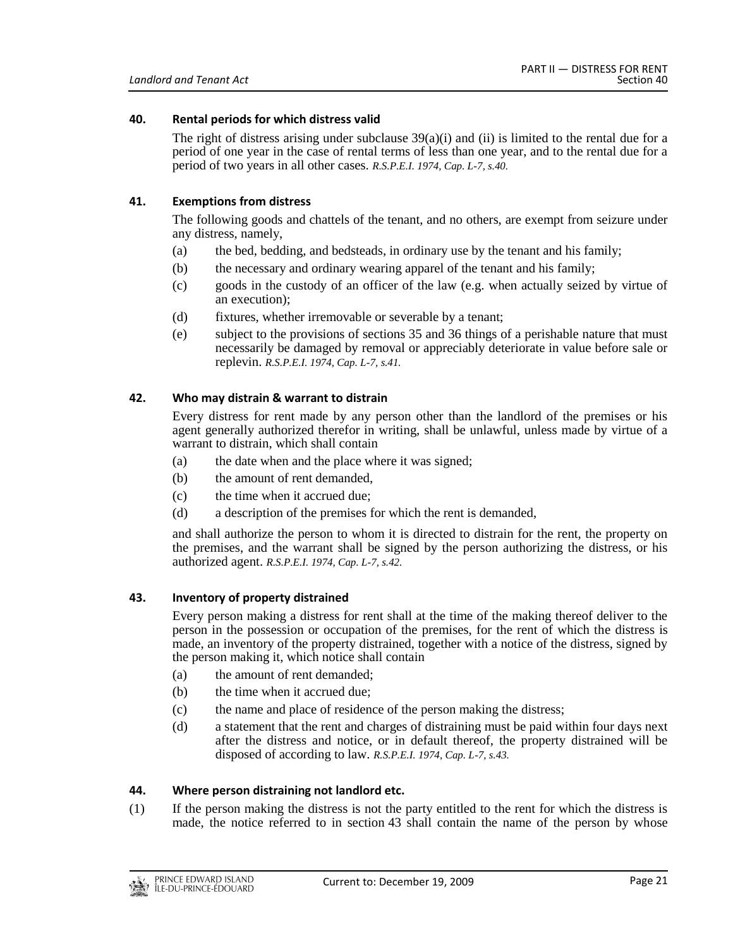## <span id="page-20-0"></span>**40. Rental periods for which distress valid**

The right of distress arising under subclause  $39(a)(i)$  and (ii) is limited to the rental due for a period of one year in the case of rental terms of less than one year, and to the rental due for a period of two years in all other cases. *R.S.P.E.I. 1974, Cap. L-7, s.40.*

## <span id="page-20-1"></span>**41. Exemptions from distress**

The following goods and chattels of the tenant, and no others, are exempt from seizure under any distress, namely,

- (a) the bed, bedding, and bedsteads, in ordinary use by the tenant and his family;
- (b) the necessary and ordinary wearing apparel of the tenant and his family;
- (c) goods in the custody of an officer of the law (e.g. when actually seized by virtue of an execution);
- (d) fixtures, whether irremovable or severable by a tenant;
- (e) subject to the provisions of sections 35 and 36 things of a perishable nature that must necessarily be damaged by removal or appreciably deteriorate in value before sale or replevin. *R.S.P.E.I. 1974, Cap. L-7, s.41.*

## <span id="page-20-2"></span>**42. Who may distrain & warrant to distrain**

Every distress for rent made by any person other than the landlord of the premises or his agent generally authorized therefor in writing, shall be unlawful, unless made by virtue of a warrant to distrain, which shall contain

- (a) the date when and the place where it was signed;
- (b) the amount of rent demanded,
- (c) the time when it accrued due;
- (d) a description of the premises for which the rent is demanded,

and shall authorize the person to whom it is directed to distrain for the rent, the property on the premises, and the warrant shall be signed by the person authorizing the distress, or his authorized agent. *R.S.P.E.I. 1974, Cap. L-7, s.42.*

#### <span id="page-20-3"></span>**43. Inventory of property distrained**

Every person making a distress for rent shall at the time of the making thereof deliver to the person in the possession or occupation of the premises, for the rent of which the distress is made, an inventory of the property distrained, together with a notice of the distress, signed by the person making it, which notice shall contain

- (a) the amount of rent demanded;
- (b) the time when it accrued due;
- (c) the name and place of residence of the person making the distress;
- (d) a statement that the rent and charges of distraining must be paid within four days next after the distress and notice, or in default thereof, the property distrained will be disposed of according to law. *R.S.P.E.I. 1974, Cap. L-7, s.43.*

#### <span id="page-20-4"></span>**44. Where person distraining not landlord etc.**

(1) If the person making the distress is not the party entitled to the rent for which the distress is made, the notice referred to in section 43 shall contain the name of the person by whose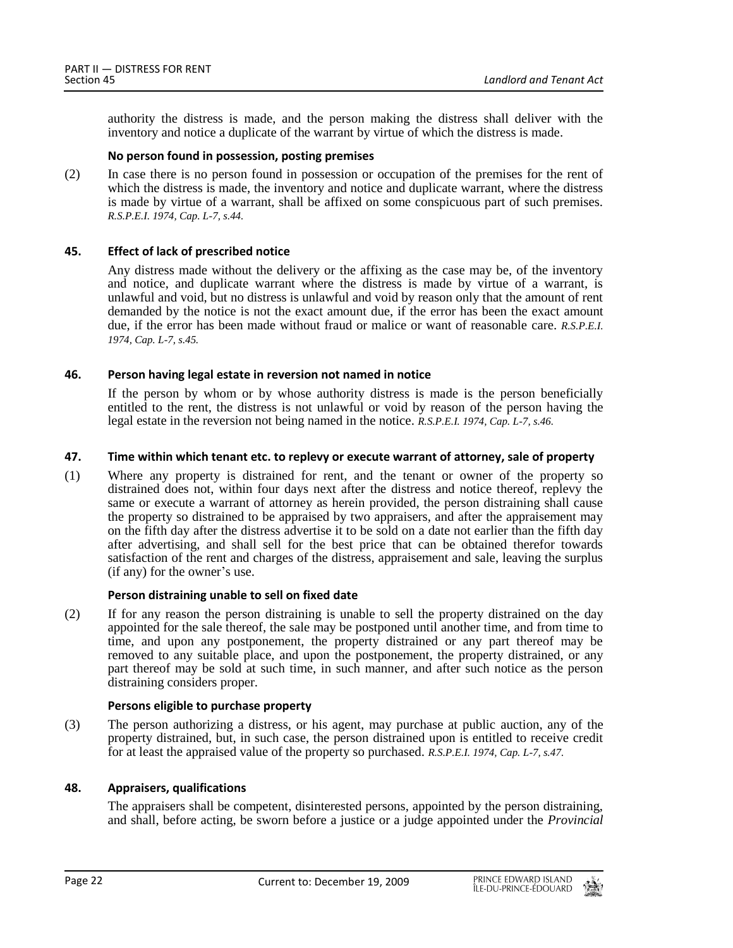authority the distress is made, and the person making the distress shall deliver with the inventory and notice a duplicate of the warrant by virtue of which the distress is made.

## **No person found in possession, posting premises**

(2) In case there is no person found in possession or occupation of the premises for the rent of which the distress is made, the inventory and notice and duplicate warrant, where the distress is made by virtue of a warrant, shall be affixed on some conspicuous part of such premises. *R.S.P.E.I. 1974, Cap. L-7, s.44.*

## <span id="page-21-0"></span>**45. Effect of lack of prescribed notice**

Any distress made without the delivery or the affixing as the case may be, of the inventory and notice, and duplicate warrant where the distress is made by virtue of a warrant, is unlawful and void, but no distress is unlawful and void by reason only that the amount of rent demanded by the notice is not the exact amount due, if the error has been the exact amount due, if the error has been made without fraud or malice or want of reasonable care. *R.S.P.E.I. 1974, Cap. L-7, s.45.*

## <span id="page-21-1"></span>**46. Person having legal estate in reversion not named in notice**

If the person by whom or by whose authority distress is made is the person beneficially entitled to the rent, the distress is not unlawful or void by reason of the person having the legal estate in the reversion not being named in the notice. *R.S.P.E.I. 1974, Cap. L-7, s.46.*

## <span id="page-21-2"></span>**47. Time within which tenant etc. to replevy or execute warrant of attorney, sale of property**

(1) Where any property is distrained for rent, and the tenant or owner of the property so distrained does not, within four days next after the distress and notice thereof, replevy the same or execute a warrant of attorney as herein provided, the person distraining shall cause the property so distrained to be appraised by two appraisers, and after the appraisement may on the fifth day after the distress advertise it to be sold on a date not earlier than the fifth day after advertising, and shall sell for the best price that can be obtained therefor towards satisfaction of the rent and charges of the distress, appraisement and sale, leaving the surplus (if any) for the owner's use.

#### **Person distraining unable to sell on fixed date**

(2) If for any reason the person distraining is unable to sell the property distrained on the day appointed for the sale thereof, the sale may be postponed until another time, and from time to time, and upon any postponement, the property distrained or any part thereof may be removed to any suitable place, and upon the postponement, the property distrained, or any part thereof may be sold at such time, in such manner, and after such notice as the person distraining considers proper.

#### **Persons eligible to purchase property**

(3) The person authorizing a distress, or his agent, may purchase at public auction, any of the property distrained, but, in such case, the person distrained upon is entitled to receive credit for at least the appraised value of the property so purchased. *R.S.P.E.I. 1974, Cap. L-7, s.47.*

## <span id="page-21-3"></span>**48. Appraisers, qualifications**

The appraisers shall be competent, disinterested persons, appointed by the person distraining, and shall, before acting, be sworn before a justice or a judge appointed under the *Provincial*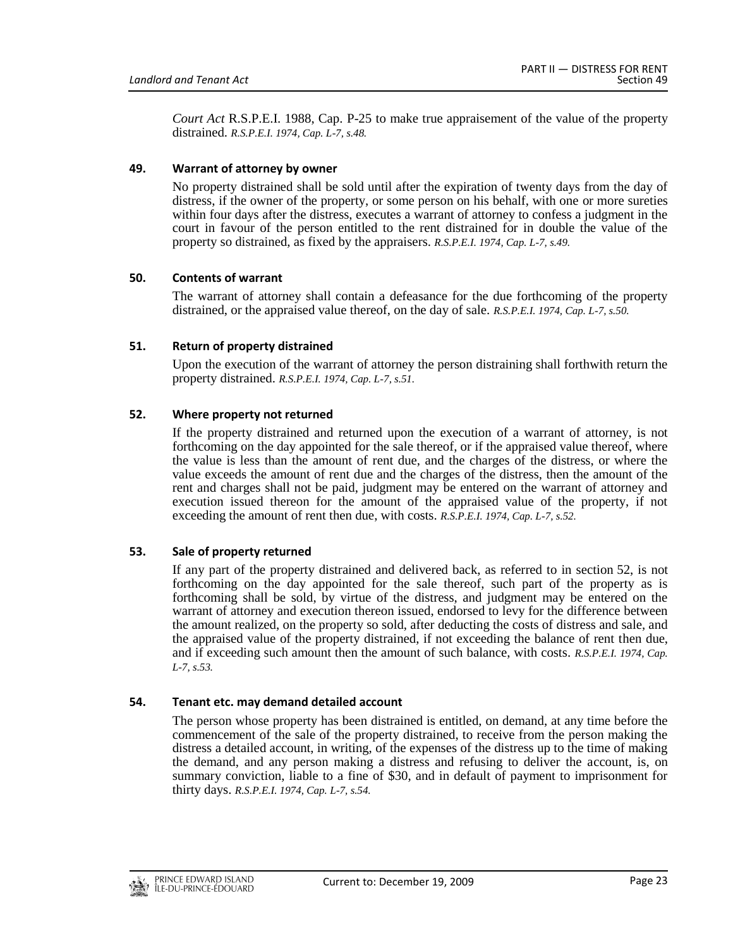*Court Act* R.S.P.E.I. 1988, Cap. P-25 to make true appraisement of the value of the property distrained. *R.S.P.E.I. 1974, Cap. L-7, s.48.*

## <span id="page-22-0"></span>**49. Warrant of attorney by owner**

No property distrained shall be sold until after the expiration of twenty days from the day of distress, if the owner of the property, or some person on his behalf, with one or more sureties within four days after the distress, executes a warrant of attorney to confess a judgment in the court in favour of the person entitled to the rent distrained for in double the value of the property so distrained, as fixed by the appraisers. *R.S.P.E.I. 1974, Cap. L-7, s.49.*

## <span id="page-22-1"></span>**50. Contents of warrant**

The warrant of attorney shall contain a defeasance for the due forthcoming of the property distrained, or the appraised value thereof, on the day of sale. *R.S.P.E.I. 1974, Cap. L-7, s.50.*

## <span id="page-22-2"></span>**51. Return of property distrained**

Upon the execution of the warrant of attorney the person distraining shall forthwith return the property distrained. *R.S.P.E.I. 1974, Cap. L-7, s.51.*

## <span id="page-22-3"></span>**52. Where property not returned**

If the property distrained and returned upon the execution of a warrant of attorney, is not forthcoming on the day appointed for the sale thereof, or if the appraised value thereof, where the value is less than the amount of rent due, and the charges of the distress, or where the value exceeds the amount of rent due and the charges of the distress, then the amount of the rent and charges shall not be paid, judgment may be entered on the warrant of attorney and execution issued thereon for the amount of the appraised value of the property, if not exceeding the amount of rent then due, with costs. *R.S.P.E.I. 1974, Cap. L-7, s.52.*

## <span id="page-22-4"></span>**53. Sale of property returned**

If any part of the property distrained and delivered back, as referred to in section 52, is not forthcoming on the day appointed for the sale thereof, such part of the property as is forthcoming shall be sold, by virtue of the distress, and judgment may be entered on the warrant of attorney and execution thereon issued, endorsed to levy for the difference between the amount realized, on the property so sold, after deducting the costs of distress and sale, and the appraised value of the property distrained, if not exceeding the balance of rent then due, and if exceeding such amount then the amount of such balance, with costs. *R.S.P.E.I. 1974, Cap. L-7, s.53.*

#### <span id="page-22-5"></span>**54. Tenant etc. may demand detailed account**

The person whose property has been distrained is entitled, on demand, at any time before the commencement of the sale of the property distrained, to receive from the person making the distress a detailed account, in writing, of the expenses of the distress up to the time of making the demand, and any person making a distress and refusing to deliver the account, is, on summary conviction, liable to a fine of \$30, and in default of payment to imprisonment for thirty days. *R.S.P.E.I. 1974, Cap. L-7, s.54.*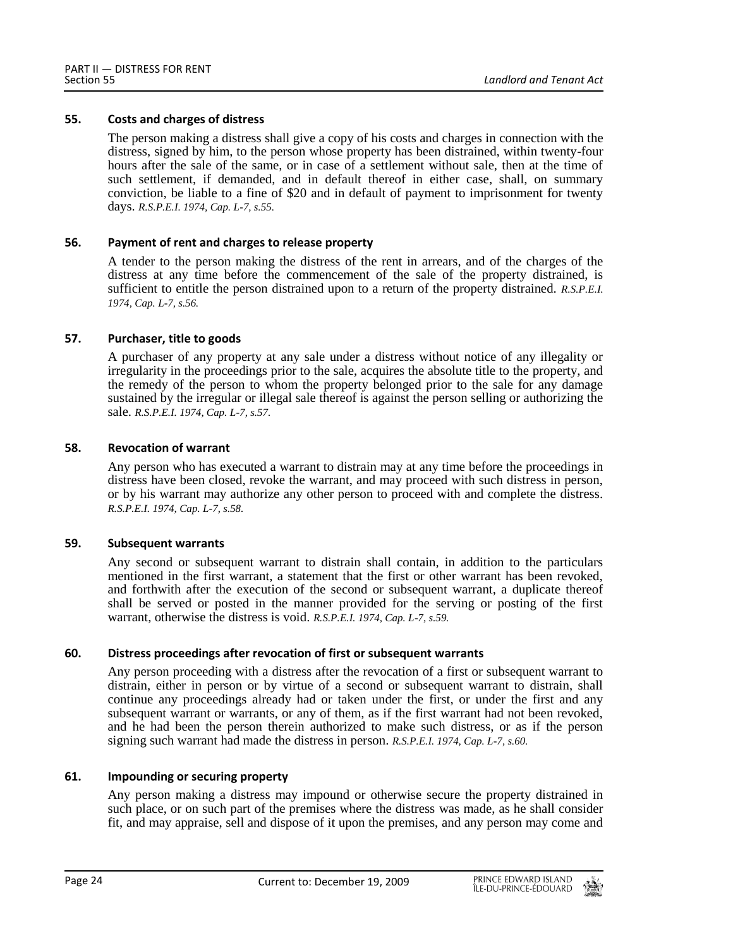## <span id="page-23-0"></span>**55. Costs and charges of distress**

The person making a distress shall give a copy of his costs and charges in connection with the distress, signed by him, to the person whose property has been distrained, within twenty-four hours after the sale of the same, or in case of a settlement without sale, then at the time of such settlement, if demanded, and in default thereof in either case, shall, on summary conviction, be liable to a fine of \$20 and in default of payment to imprisonment for twenty days. *R.S.P.E.I. 1974, Cap. L-7, s.55.*

## <span id="page-23-1"></span>**56. Payment of rent and charges to release property**

A tender to the person making the distress of the rent in arrears, and of the charges of the distress at any time before the commencement of the sale of the property distrained, is sufficient to entitle the person distrained upon to a return of the property distrained. *R.S.P.E.I. 1974, Cap. L-7, s.56.*

## <span id="page-23-2"></span>**57. Purchaser, title to goods**

A purchaser of any property at any sale under a distress without notice of any illegality or irregularity in the proceedings prior to the sale, acquires the absolute title to the property, and the remedy of the person to whom the property belonged prior to the sale for any damage sustained by the irregular or illegal sale thereof is against the person selling or authorizing the sale. *R.S.P.E.I. 1974, Cap. L-7, s.57.*

## <span id="page-23-3"></span>**58. Revocation of warrant**

Any person who has executed a warrant to distrain may at any time before the proceedings in distress have been closed, revoke the warrant, and may proceed with such distress in person, or by his warrant may authorize any other person to proceed with and complete the distress. *R.S.P.E.I. 1974, Cap. L-7, s.58.*

#### <span id="page-23-4"></span>**59. Subsequent warrants**

Any second or subsequent warrant to distrain shall contain, in addition to the particulars mentioned in the first warrant, a statement that the first or other warrant has been revoked, and forthwith after the execution of the second or subsequent warrant, a duplicate thereof shall be served or posted in the manner provided for the serving or posting of the first warrant, otherwise the distress is void. *R.S.P.E.I. 1974, Cap. L-7, s.59.*

## <span id="page-23-5"></span>**60. Distress proceedings after revocation of first or subsequent warrants**

Any person proceeding with a distress after the revocation of a first or subsequent warrant to distrain, either in person or by virtue of a second or subsequent warrant to distrain, shall continue any proceedings already had or taken under the first, or under the first and any subsequent warrant or warrants, or any of them, as if the first warrant had not been revoked, and he had been the person therein authorized to make such distress, or as if the person signing such warrant had made the distress in person. *R.S.P.E.I. 1974, Cap. L-7, s.60.*

## <span id="page-23-6"></span>**61. Impounding or securing property**

Any person making a distress may impound or otherwise secure the property distrained in such place, or on such part of the premises where the distress was made, as he shall consider fit, and may appraise, sell and dispose of it upon the premises, and any person may come and

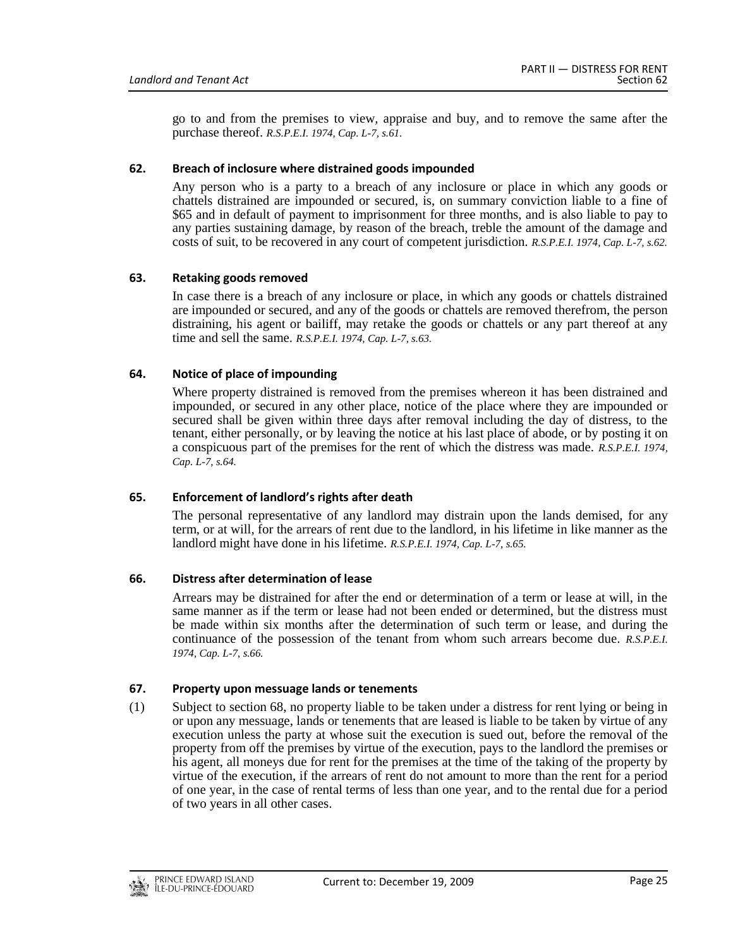go to and from the premises to view, appraise and buy, and to remove the same after the purchase thereof. *R.S.P.E.I. 1974, Cap. L-7, s.61.*

## <span id="page-24-0"></span>**62. Breach of inclosure where distrained goods impounded**

Any person who is a party to a breach of any inclosure or place in which any goods or chattels distrained are impounded or secured, is, on summary conviction liable to a fine of \$65 and in default of payment to imprisonment for three months, and is also liable to pay to any parties sustaining damage, by reason of the breach, treble the amount of the damage and costs of suit, to be recovered in any court of competent jurisdiction. *R.S.P.E.I. 1974, Cap. L-7, s.62.*

## <span id="page-24-1"></span>**63. Retaking goods removed**

In case there is a breach of any inclosure or place, in which any goods or chattels distrained are impounded or secured, and any of the goods or chattels are removed therefrom, the person distraining, his agent or bailiff, may retake the goods or chattels or any part thereof at any time and sell the same. *R.S.P.E.I. 1974, Cap. L-7, s.63.*

## <span id="page-24-2"></span>**64. Notice of place of impounding**

Where property distrained is removed from the premises whereon it has been distrained and impounded, or secured in any other place, notice of the place where they are impounded or secured shall be given within three days after removal including the day of distress, to the tenant, either personally, or by leaving the notice at his last place of abode, or by posting it on a conspicuous part of the premises for the rent of which the distress was made. *R.S.P.E.I. 1974, Cap. L-7, s.64.*

## <span id="page-24-3"></span>**65. Enforcement of landlord's rights after death**

The personal representative of any landlord may distrain upon the lands demised, for any term, or at will, for the arrears of rent due to the landlord, in his lifetime in like manner as the landlord might have done in his lifetime. *R.S.P.E.I. 1974, Cap. L-7, s.65.*

## <span id="page-24-4"></span>**66. Distress after determination of lease**

Arrears may be distrained for after the end or determination of a term or lease at will, in the same manner as if the term or lease had not been ended or determined, but the distress must be made within six months after the determination of such term or lease, and during the continuance of the possession of the tenant from whom such arrears become due. *R.S.P.E.I. 1974, Cap. L-7, s.66.*

## <span id="page-24-5"></span>**67. Property upon messuage lands or tenements**

(1) Subject to section 68, no property liable to be taken under a distress for rent lying or being in or upon any messuage, lands or tenements that are leased is liable to be taken by virtue of any execution unless the party at whose suit the execution is sued out, before the removal of the property from off the premises by virtue of the execution, pays to the landlord the premises or his agent, all moneys due for rent for the premises at the time of the taking of the property by virtue of the execution, if the arrears of rent do not amount to more than the rent for a period of one year, in the case of rental terms of less than one year, and to the rental due for a period of two years in all other cases.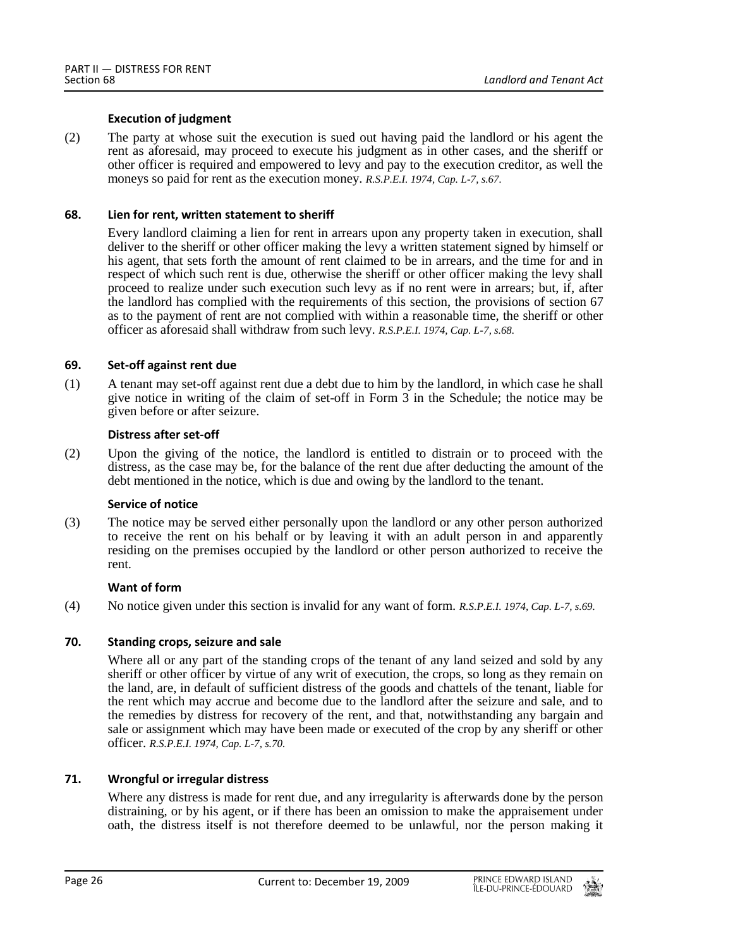## **Execution of judgment**

(2) The party at whose suit the execution is sued out having paid the landlord or his agent the rent as aforesaid, may proceed to execute his judgment as in other cases, and the sheriff or other officer is required and empowered to levy and pay to the execution creditor, as well the moneys so paid for rent as the execution money. *R.S.P.E.I. 1974, Cap. L-7, s.67.*

## <span id="page-25-0"></span>**68. Lien for rent, written statement to sheriff**

Every landlord claiming a lien for rent in arrears upon any property taken in execution, shall deliver to the sheriff or other officer making the levy a written statement signed by himself or his agent, that sets forth the amount of rent claimed to be in arrears, and the time for and in respect of which such rent is due, otherwise the sheriff or other officer making the levy shall proceed to realize under such execution such levy as if no rent were in arrears; but, if, after the landlord has complied with the requirements of this section, the provisions of section 67 as to the payment of rent are not complied with within a reasonable time, the sheriff or other officer as aforesaid shall withdraw from such levy. *R.S.P.E.I. 1974, Cap. L-7, s.68.*

## <span id="page-25-1"></span>**69. Set-off against rent due**

(1) A tenant may set-off against rent due a debt due to him by the landlord, in which case he shall give notice in writing of the claim of set-off in Form 3 in the Schedule; the notice may be given before or after seizure.

## **Distress after set-off**

(2) Upon the giving of the notice, the landlord is entitled to distrain or to proceed with the distress, as the case may be, for the balance of the rent due after deducting the amount of the debt mentioned in the notice, which is due and owing by the landlord to the tenant.

## **Service of notice**

(3) The notice may be served either personally upon the landlord or any other person authorized to receive the rent on his behalf or by leaving it with an adult person in and apparently residing on the premises occupied by the landlord or other person authorized to receive the rent.

#### **Want of form**

<span id="page-25-2"></span>(4) No notice given under this section is invalid for any want of form. *R.S.P.E.I. 1974, Cap. L-7, s.69.*

## **70. Standing crops, seizure and sale**

Where all or any part of the standing crops of the tenant of any land seized and sold by any sheriff or other officer by virtue of any writ of execution, the crops, so long as they remain on the land, are, in default of sufficient distress of the goods and chattels of the tenant, liable for the rent which may accrue and become due to the landlord after the seizure and sale, and to the remedies by distress for recovery of the rent, and that, notwithstanding any bargain and sale or assignment which may have been made or executed of the crop by any sheriff or other officer. *R.S.P.E.I. 1974, Cap. L-7, s.70.*

## <span id="page-25-3"></span>**71. Wrongful or irregular distress**

Where any distress is made for rent due, and any irregularity is afterwards done by the person distraining, or by his agent, or if there has been an omission to make the appraisement under oath, the distress itself is not therefore deemed to be unlawful, nor the person making it

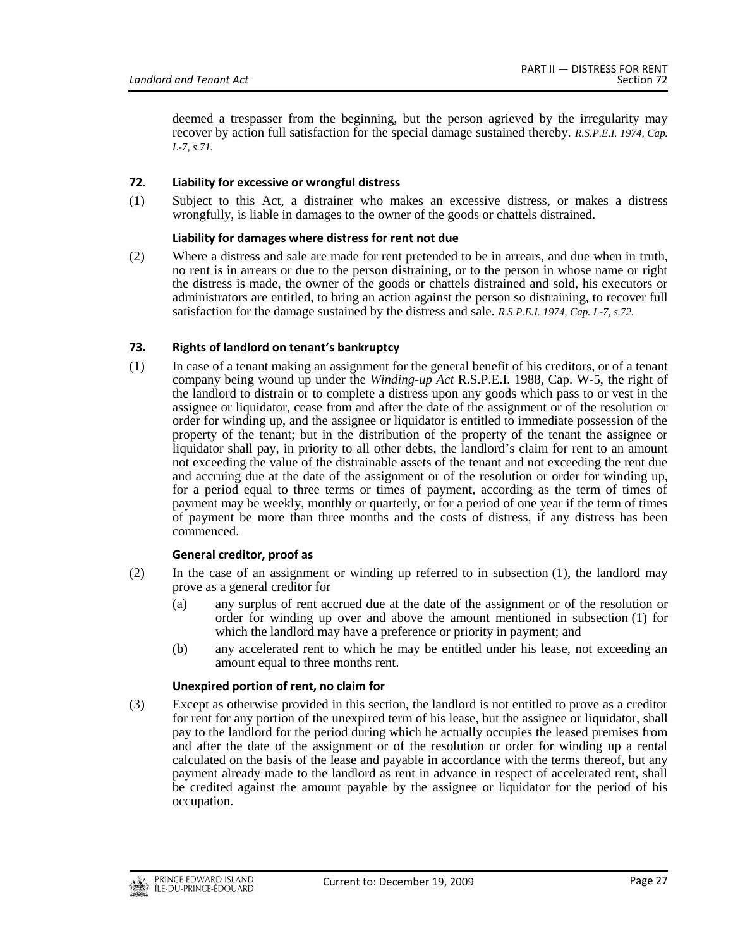deemed a trespasser from the beginning, but the person agrieved by the irregularity may recover by action full satisfaction for the special damage sustained thereby. *R.S.P.E.I. 1974, Cap. L-7, s.71.*

## <span id="page-26-0"></span>**72. Liability for excessive or wrongful distress**

(1) Subject to this Act, a distrainer who makes an excessive distress, or makes a distress wrongfully, is liable in damages to the owner of the goods or chattels distrained.

#### **Liability for damages where distress for rent not due**

(2) Where a distress and sale are made for rent pretended to be in arrears, and due when in truth, no rent is in arrears or due to the person distraining, or to the person in whose name or right the distress is made, the owner of the goods or chattels distrained and sold, his executors or administrators are entitled, to bring an action against the person so distraining, to recover full satisfaction for the damage sustained by the distress and sale. *R.S.P.E.I. 1974, Cap. L-7, s.72.*

## <span id="page-26-1"></span>**73. Rights of landlord on tenant's bankruptcy**

(1) In case of a tenant making an assignment for the general benefit of his creditors, or of a tenant company being wound up under the *Winding-up Act* R.S.P.E.I. 1988, Cap. W-5, the right of the landlord to distrain or to complete a distress upon any goods which pass to or vest in the assignee or liquidator, cease from and after the date of the assignment or of the resolution or order for winding up, and the assignee or liquidator is entitled to immediate possession of the property of the tenant; but in the distribution of the property of the tenant the assignee or liquidator shall pay, in priority to all other debts, the landlord's claim for rent to an amount not exceeding the value of the distrainable assets of the tenant and not exceeding the rent due and accruing due at the date of the assignment or of the resolution or order for winding up, for a period equal to three terms or times of payment, according as the term of times of payment may be weekly, monthly or quarterly, or for a period of one year if the term of times of payment be more than three months and the costs of distress, if any distress has been commenced.

#### **General creditor, proof as**

- (2) In the case of an assignment or winding up referred to in subsection (1), the landlord may prove as a general creditor for
	- (a) any surplus of rent accrued due at the date of the assignment or of the resolution or order for winding up over and above the amount mentioned in subsection (1) for which the landlord may have a preference or priority in payment; and
	- (b) any accelerated rent to which he may be entitled under his lease, not exceeding an amount equal to three months rent.

#### **Unexpired portion of rent, no claim for**

(3) Except as otherwise provided in this section, the landlord is not entitled to prove as a creditor for rent for any portion of the unexpired term of his lease, but the assignee or liquidator, shall pay to the landlord for the period during which he actually occupies the leased premises from and after the date of the assignment or of the resolution or order for winding up a rental calculated on the basis of the lease and payable in accordance with the terms thereof, but any payment already made to the landlord as rent in advance in respect of accelerated rent, shall be credited against the amount payable by the assignee or liquidator for the period of his occupation.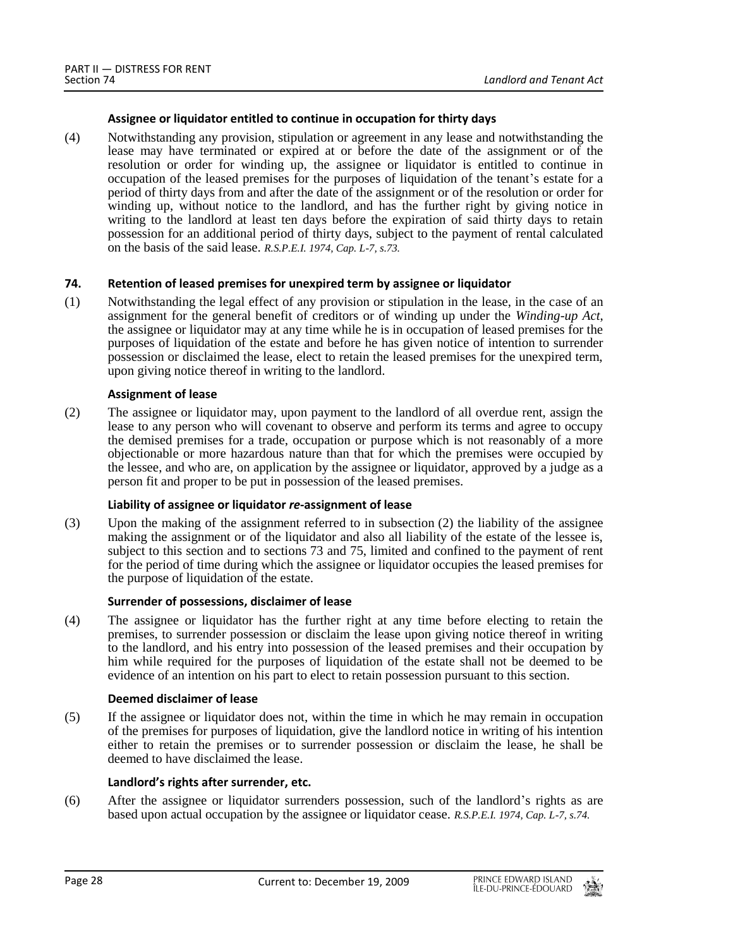## **Assignee or liquidator entitled to continue in occupation for thirty days**

(4) Notwithstanding any provision, stipulation or agreement in any lease and notwithstanding the lease may have terminated or expired at or before the date of the assignment or of the resolution or order for winding up, the assignee or liquidator is entitled to continue in occupation of the leased premises for the purposes of liquidation of the tenant's estate for a period of thirty days from and after the date of the assignment or of the resolution or order for winding up, without notice to the landlord, and has the further right by giving notice in writing to the landlord at least ten days before the expiration of said thirty days to retain possession for an additional period of thirty days, subject to the payment of rental calculated on the basis of the said lease. *R.S.P.E.I. 1974, Cap. L-7, s.73.*

## <span id="page-27-0"></span>**74. Retention of leased premises for unexpired term by assignee or liquidator**

(1) Notwithstanding the legal effect of any provision or stipulation in the lease, in the case of an assignment for the general benefit of creditors or of winding up under the *Winding-up Act*, the assignee or liquidator may at any time while he is in occupation of leased premises for the purposes of liquidation of the estate and before he has given notice of intention to surrender possession or disclaimed the lease, elect to retain the leased premises for the unexpired term, upon giving notice thereof in writing to the landlord.

## **Assignment of lease**

(2) The assignee or liquidator may, upon payment to the landlord of all overdue rent, assign the lease to any person who will covenant to observe and perform its terms and agree to occupy the demised premises for a trade, occupation or purpose which is not reasonably of a more objectionable or more hazardous nature than that for which the premises were occupied by the lessee, and who are, on application by the assignee or liquidator, approved by a judge as a person fit and proper to be put in possession of the leased premises.

## **Liability of assignee or liquidator** *re***-assignment of lease**

(3) Upon the making of the assignment referred to in subsection (2) the liability of the assignee making the assignment or of the liquidator and also all liability of the estate of the lessee is, subject to this section and to sections 73 and 75, limited and confined to the payment of rent for the period of time during which the assignee or liquidator occupies the leased premises for the purpose of liquidation of the estate.

#### **Surrender of possessions, disclaimer of lease**

(4) The assignee or liquidator has the further right at any time before electing to retain the premises, to surrender possession or disclaim the lease upon giving notice thereof in writing to the landlord, and his entry into possession of the leased premises and their occupation by him while required for the purposes of liquidation of the estate shall not be deemed to be evidence of an intention on his part to elect to retain possession pursuant to this section.

#### **Deemed disclaimer of lease**

(5) If the assignee or liquidator does not, within the time in which he may remain in occupation of the premises for purposes of liquidation, give the landlord notice in writing of his intention either to retain the premises or to surrender possession or disclaim the lease, he shall be deemed to have disclaimed the lease.

## **Landlord's rights after surrender, etc.**

(6) After the assignee or liquidator surrenders possession, such of the landlord's rights as are based upon actual occupation by the assignee or liquidator cease. *R.S.P.E.I. 1974, Cap. L-7, s.74.*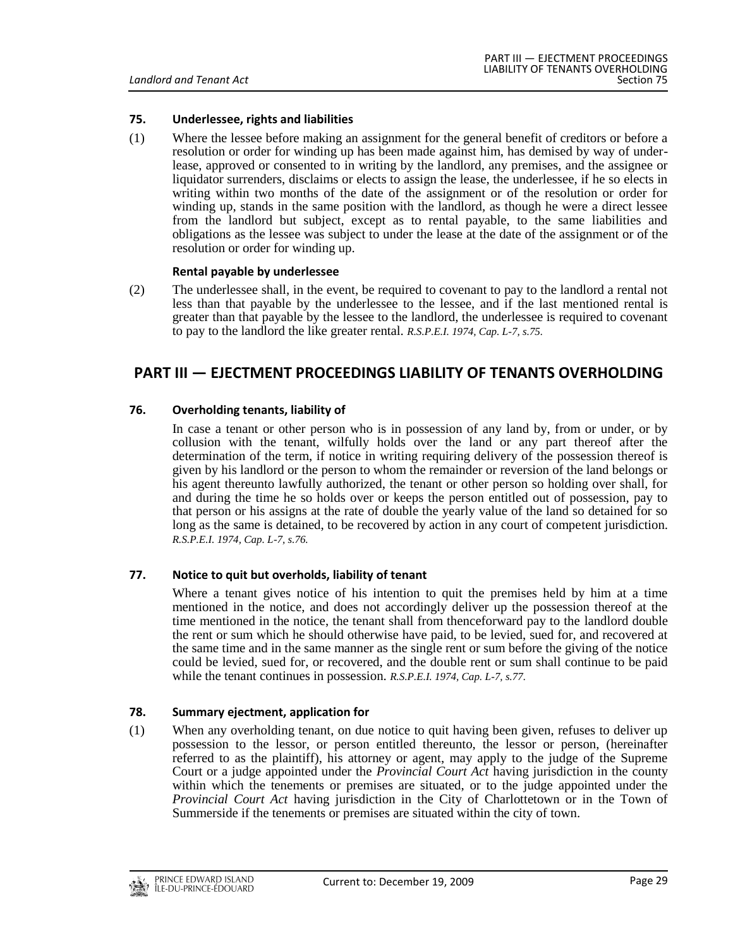## <span id="page-28-0"></span>**75. Underlessee, rights and liabilities**

(1) Where the lessee before making an assignment for the general benefit of creditors or before a resolution or order for winding up has been made against him, has demised by way of underlease, approved or consented to in writing by the landlord, any premises, and the assignee or liquidator surrenders, disclaims or elects to assign the lease, the underlessee, if he so elects in writing within two months of the date of the assignment or of the resolution or order for winding up, stands in the same position with the landlord, as though he were a direct lessee from the landlord but subject, except as to rental payable, to the same liabilities and obligations as the lessee was subject to under the lease at the date of the assignment or of the resolution or order for winding up.

#### **Rental payable by underlessee**

(2) The underlessee shall, in the event, be required to covenant to pay to the landlord a rental not less than that payable by the underlessee to the lessee, and if the last mentioned rental is greater than that payable by the lessee to the landlord, the underlessee is required to covenant to pay to the landlord the like greater rental. *R.S.P.E.I. 1974, Cap. L-7, s.75.*

## <span id="page-28-2"></span><span id="page-28-1"></span>**PART III — EJECTMENT PROCEEDINGS LIABILITY OF TENANTS OVERHOLDING**

## **76. Overholding tenants, liability of**

In case a tenant or other person who is in possession of any land by, from or under, or by collusion with the tenant, wilfully holds over the land or any part thereof after the determination of the term, if notice in writing requiring delivery of the possession thereof is given by his landlord or the person to whom the remainder or reversion of the land belongs or his agent thereunto lawfully authorized, the tenant or other person so holding over shall, for and during the time he so holds over or keeps the person entitled out of possession, pay to that person or his assigns at the rate of double the yearly value of the land so detained for so long as the same is detained, to be recovered by action in any court of competent jurisdiction. *R.S.P.E.I. 1974, Cap. L-7, s.76.*

#### <span id="page-28-3"></span>**77. Notice to quit but overholds, liability of tenant**

Where a tenant gives notice of his intention to quit the premises held by him at a time mentioned in the notice, and does not accordingly deliver up the possession thereof at the time mentioned in the notice, the tenant shall from thenceforward pay to the landlord double the rent or sum which he should otherwise have paid, to be levied, sued for, and recovered at the same time and in the same manner as the single rent or sum before the giving of the notice could be levied, sued for, or recovered, and the double rent or sum shall continue to be paid while the tenant continues in possession. *R.S.P.E.I. 1974, Cap. L-7, s.77.*

#### <span id="page-28-4"></span>**78. Summary ejectment, application for**

(1) When any overholding tenant, on due notice to quit having been given, refuses to deliver up possession to the lessor, or person entitled thereunto, the lessor or person, (hereinafter referred to as the plaintiff), his attorney or agent, may apply to the judge of the Supreme Court or a judge appointed under the *Provincial Court Act* having jurisdiction in the county within which the tenements or premises are situated, or to the judge appointed under the *Provincial Court Act* having jurisdiction in the City of Charlottetown or in the Town of Summerside if the tenements or premises are situated within the city of town.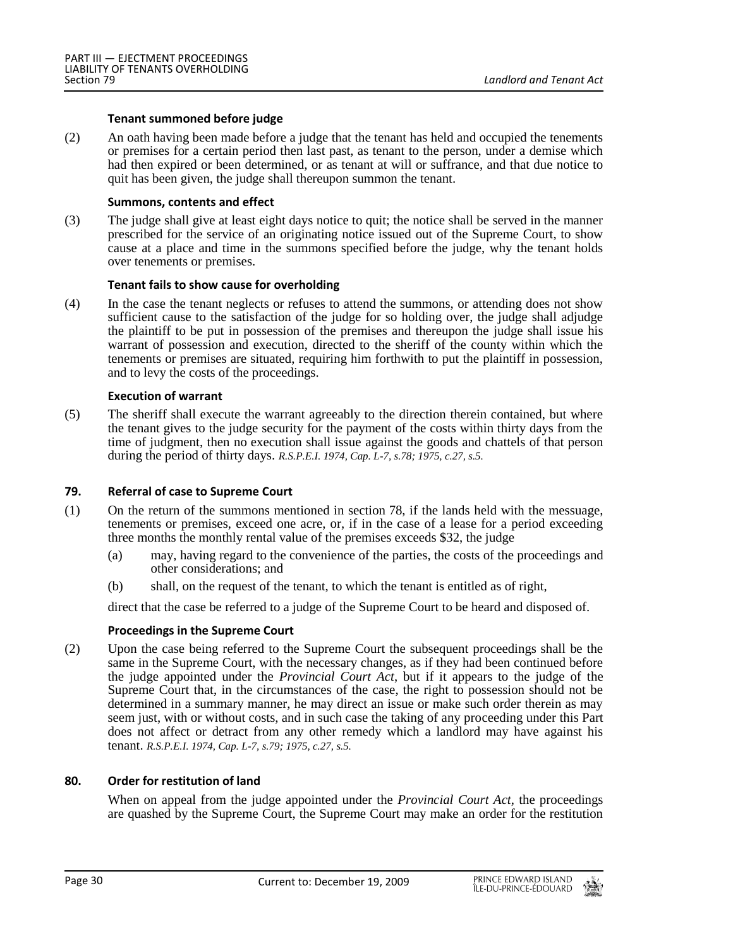#### **Tenant summoned before judge**

(2) An oath having been made before a judge that the tenant has held and occupied the tenements or premises for a certain period then last past, as tenant to the person, under a demise which had then expired or been determined, or as tenant at will or suffrance, and that due notice to quit has been given, the judge shall thereupon summon the tenant.

#### **Summons, contents and effect**

(3) The judge shall give at least eight days notice to quit; the notice shall be served in the manner prescribed for the service of an originating notice issued out of the Supreme Court, to show cause at a place and time in the summons specified before the judge, why the tenant holds over tenements or premises.

#### **Tenant fails to show cause for overholding**

(4) In the case the tenant neglects or refuses to attend the summons, or attending does not show sufficient cause to the satisfaction of the judge for so holding over, the judge shall adjudge the plaintiff to be put in possession of the premises and thereupon the judge shall issue his warrant of possession and execution, directed to the sheriff of the county within which the tenements or premises are situated, requiring him forthwith to put the plaintiff in possession, and to levy the costs of the proceedings.

#### **Execution of warrant**

(5) The sheriff shall execute the warrant agreeably to the direction therein contained, but where the tenant gives to the judge security for the payment of the costs within thirty days from the time of judgment, then no execution shall issue against the goods and chattels of that person during the period of thirty days. *R.S.P.E.I. 1974, Cap. L-7, s.78; 1975, c.27, s.5.*

#### <span id="page-29-0"></span>**79. Referral of case to Supreme Court**

- (1) On the return of the summons mentioned in section 78, if the lands held with the messuage, tenements or premises, exceed one acre, or, if in the case of a lease for a period exceeding three months the monthly rental value of the premises exceeds \$32, the judge
	- (a) may, having regard to the convenience of the parties, the costs of the proceedings and other considerations; and
	- (b) shall, on the request of the tenant, to which the tenant is entitled as of right,

direct that the case be referred to a judge of the Supreme Court to be heard and disposed of.

#### **Proceedings in the Supreme Court**

(2) Upon the case being referred to the Supreme Court the subsequent proceedings shall be the same in the Supreme Court, with the necessary changes, as if they had been continued before the judge appointed under the *Provincial Court Act*, but if it appears to the judge of the Supreme Court that, in the circumstances of the case, the right to possession should not be determined in a summary manner, he may direct an issue or make such order therein as may seem just, with or without costs, and in such case the taking of any proceeding under this Part does not affect or detract from any other remedy which a landlord may have against his tenant. *R.S.P.E.I. 1974, Cap. L-7, s.79; 1975, c.27, s.5.*

#### <span id="page-29-1"></span>**80. Order for restitution of land**

When on appeal from the judge appointed under the *Provincial Court Act*, the proceedings are quashed by the Supreme Court, the Supreme Court may make an order for the restitution

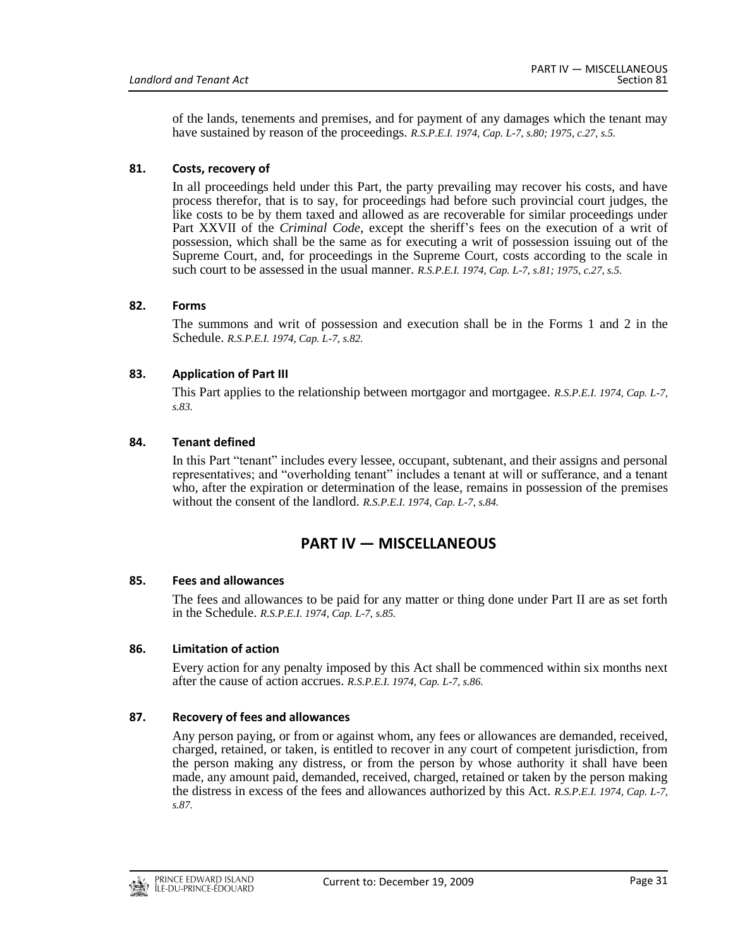of the lands, tenements and premises, and for payment of any damages which the tenant may have sustained by reason of the proceedings. *R.S.P.E.I. 1974, Cap. L-7, s.80; 1975, c.27, s.5.*

## <span id="page-30-0"></span>**81. Costs, recovery of**

In all proceedings held under this Part, the party prevailing may recover his costs, and have process therefor, that is to say, for proceedings had before such provincial court judges, the like costs to be by them taxed and allowed as are recoverable for similar proceedings under Part XXVII of the *Criminal Code*, except the sheriff's fees on the execution of a writ of possession, which shall be the same as for executing a writ of possession issuing out of the Supreme Court, and, for proceedings in the Supreme Court, costs according to the scale in such court to be assessed in the usual manner. *R.S.P.E.I. 1974, Cap. L-7, s.81; 1975, c.27, s.5.*

## <span id="page-30-1"></span>**82. Forms**

The summons and writ of possession and execution shall be in the Forms 1 and 2 in the Schedule. *R.S.P.E.I. 1974, Cap. L-7, s.82.*

## <span id="page-30-2"></span>**83. Application of Part III**

This Part applies to the relationship between mortgagor and mortgagee. *R.S.P.E.I. 1974, Cap. L-7, s.83.*

## <span id="page-30-3"></span>**84. Tenant defined**

In this Part "tenant" includes every lessee, occupant, subtenant, and their assigns and personal representatives; and "overholding tenant" includes a tenant at will or sufferance, and a tenant who, after the expiration or determination of the lease, remains in possession of the premises without the consent of the landlord. *R.S.P.E.I. 1974, Cap. L-7, s.84.*

## **PART IV — MISCELLANEOUS**

## <span id="page-30-5"></span><span id="page-30-4"></span>**85. Fees and allowances**

The fees and allowances to be paid for any matter or thing done under Part II are as set forth in the Schedule. *R.S.P.E.I. 1974, Cap. L-7, s.85.*

## <span id="page-30-6"></span>**86. Limitation of action**

Every action for any penalty imposed by this Act shall be commenced within six months next after the cause of action accrues. *R.S.P.E.I. 1974, Cap. L-7, s.86.*

## <span id="page-30-7"></span>**87. Recovery of fees and allowances**

Any person paying, or from or against whom, any fees or allowances are demanded, received, charged, retained, or taken, is entitled to recover in any court of competent jurisdiction, from the person making any distress, or from the person by whose authority it shall have been made, any amount paid, demanded, received, charged, retained or taken by the person making the distress in excess of the fees and allowances authorized by this Act. *R.S.P.E.I. 1974, Cap. L-7, s.87.*

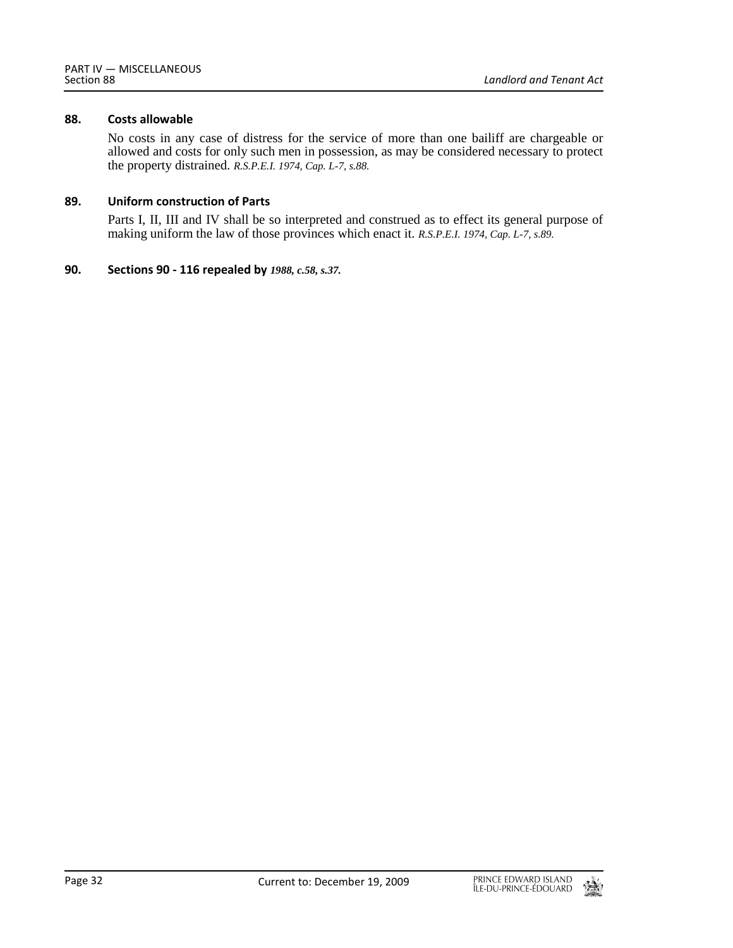## <span id="page-31-0"></span>**88. Costs allowable**

No costs in any case of distress for the service of more than one bailiff are chargeable or allowed and costs for only such men in possession, as may be considered necessary to protect the property distrained. *R.S.P.E.I. 1974, Cap. L-7, s.88.*

## <span id="page-31-1"></span>**89. Uniform construction of Parts**

Parts I, II, III and IV shall be so interpreted and construed as to effect its general purpose of making uniform the law of those provinces which enact it. *R.S.P.E.I. 1974, Cap. L-7, s.89.*

## <span id="page-31-2"></span>**90. Sections 90 - 116 repealed by** *1988, c.58, s.37.*

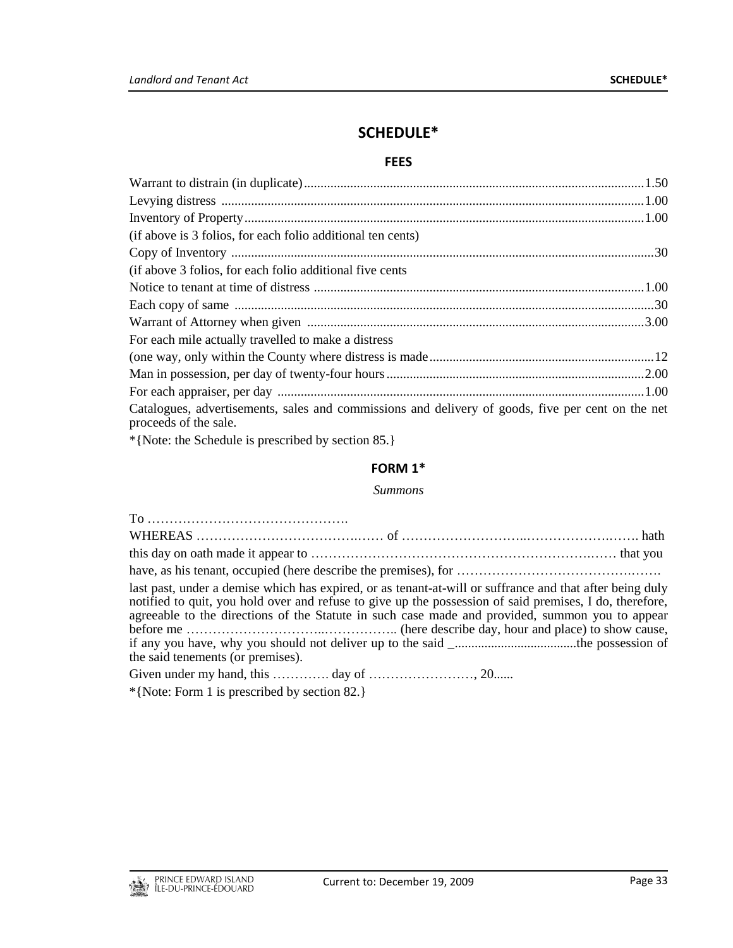# **SCHEDULE\***

## **FEES**

<span id="page-32-1"></span><span id="page-32-0"></span>

| (if above is 3 folios, for each folio additional ten cents)                                                                                                                                                                                                                                                                                                                      |  |  |  |
|----------------------------------------------------------------------------------------------------------------------------------------------------------------------------------------------------------------------------------------------------------------------------------------------------------------------------------------------------------------------------------|--|--|--|
|                                                                                                                                                                                                                                                                                                                                                                                  |  |  |  |
| (if above 3 folios, for each folio additional five cents)                                                                                                                                                                                                                                                                                                                        |  |  |  |
|                                                                                                                                                                                                                                                                                                                                                                                  |  |  |  |
|                                                                                                                                                                                                                                                                                                                                                                                  |  |  |  |
|                                                                                                                                                                                                                                                                                                                                                                                  |  |  |  |
| For each mile actually travelled to make a distress                                                                                                                                                                                                                                                                                                                              |  |  |  |
|                                                                                                                                                                                                                                                                                                                                                                                  |  |  |  |
|                                                                                                                                                                                                                                                                                                                                                                                  |  |  |  |
|                                                                                                                                                                                                                                                                                                                                                                                  |  |  |  |
| Catalogues, advertisements, sales and commissions and delivery of goods, five per cent on the net<br>proceeds of the sale.                                                                                                                                                                                                                                                       |  |  |  |
| $A(X, Y) = A(X, Y) + A(Y, Y) + A(Y, Y) + A(Y, Y) + A(Y, Y) + A(Y, Y) + A(Y, Y) + A(Y, Y) + A(Y, Y) + A(Y, Y) + A(Y, Y) + A(Y, Y) + A(Y, Y) + A(Y, Y) + A(Y, Y) + A(Y, Y) + A(Y, Y) + A(Y, Y) + A(Y, Y) + A(Y, Y) + A(Y, Y) + A(Y, Y) + A(Y, Y) + A(Y, Y) + A(Y, Y) + A(Y, Y) + A(Y, Y) + A(Y, Y) + A(Y, Y) + A(Y, Y) + A(Y, Y) + A(Y, Y) + A(Y, Y) + A(Y, Y) + A(Y, Y) + A(Y, Y$ |  |  |  |

<span id="page-32-2"></span>\*{Note: the Schedule is prescribed by section 85.}

## **FORM 1\***

## *Summons*

| the said tenements (or premises).            | last past, under a demise which has expired, or as tenant-at-will or suffrance and that after being duly<br>notified to quit, you hold over and refuse to give up the possession of said premises, I do, therefore,<br>agreeable to the directions of the Statute in such case made and provided, summon you to appear |  |
|----------------------------------------------|------------------------------------------------------------------------------------------------------------------------------------------------------------------------------------------------------------------------------------------------------------------------------------------------------------------------|--|
|                                              |                                                                                                                                                                                                                                                                                                                        |  |
| *{Note: Form 1 is prescribed by section 82.} |                                                                                                                                                                                                                                                                                                                        |  |